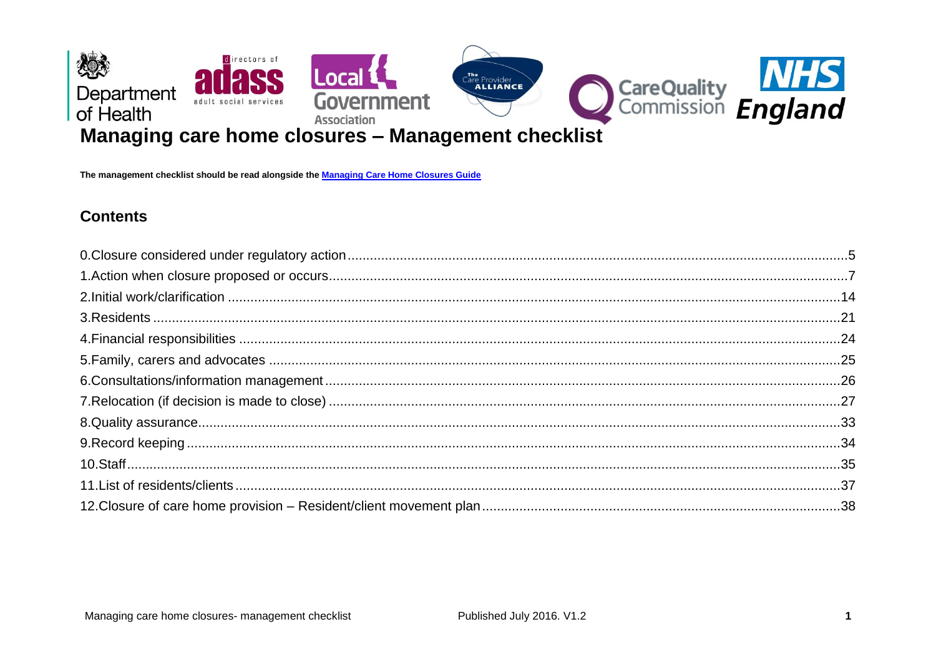

The management checklist should be read alongside the Managing Care Home Closures Guide

## **Contents**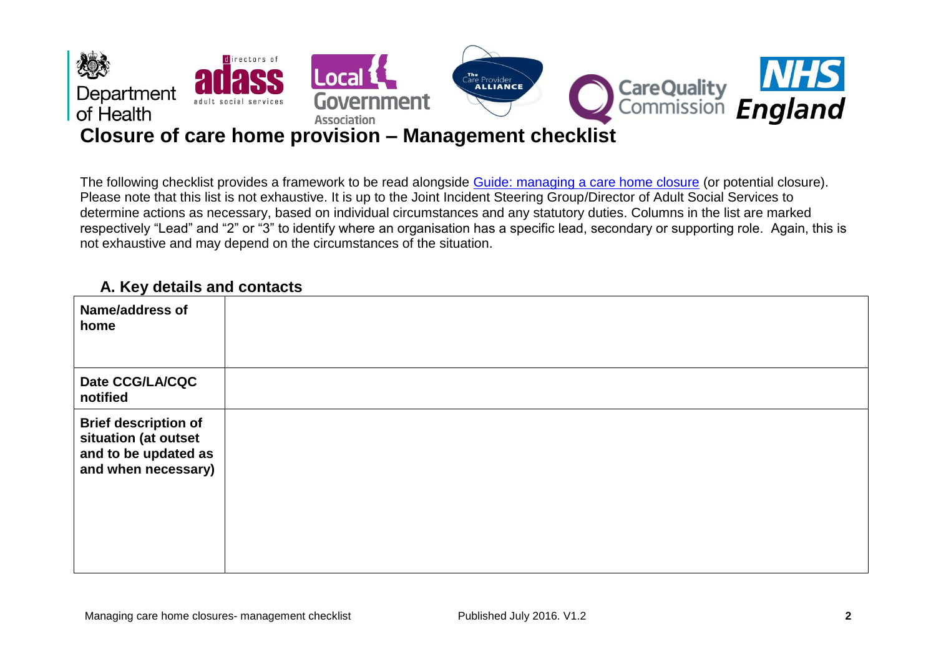

The following checklist provides a framework to be read alongside [Guide: managing a care home closure](http://www.nhs.uk/NHSEngland/keogh-review/Documents/quick-guides/Quick-Guide-managing-care-home-closures.pdf) (or potential closure). Please note that this list is not exhaustive. It is up to the Joint Incident Steering Group/Director of Adult Social Services to determine actions as necessary, based on individual circumstances and any statutory duties. Columns in the list are marked respectively "Lead" and "2" or "3" to identify where an organisation has a specific lead, secondary or supporting role. Again, this is not exhaustive and may depend on the circumstances of the situation.

## **A. Key details and contacts**

| <b>Name/address of</b><br>home                                                                     |  |
|----------------------------------------------------------------------------------------------------|--|
| Date CCG/LA/CQC<br>notified                                                                        |  |
| <b>Brief description of</b><br>situation (at outset<br>and to be updated as<br>and when necessary) |  |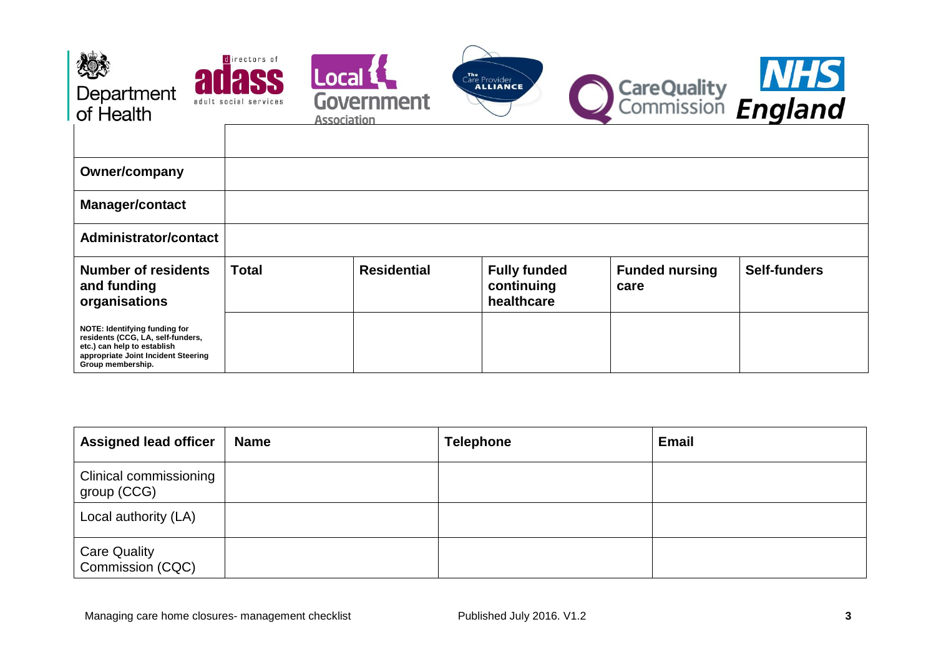| Department<br>of Health                                                                                                                                       | directors of<br>Local <sup>®</sup><br>adult social services<br><b>Association</b> | <b>Government</b>  | Care Provider                                   | CareQuality <b>NHS</b><br>Commission <b>England</b> |                     |
|---------------------------------------------------------------------------------------------------------------------------------------------------------------|-----------------------------------------------------------------------------------|--------------------|-------------------------------------------------|-----------------------------------------------------|---------------------|
|                                                                                                                                                               |                                                                                   |                    |                                                 |                                                     |                     |
| Owner/company                                                                                                                                                 |                                                                                   |                    |                                                 |                                                     |                     |
| <b>Manager/contact</b>                                                                                                                                        |                                                                                   |                    |                                                 |                                                     |                     |
| <b>Administrator/contact</b>                                                                                                                                  |                                                                                   |                    |                                                 |                                                     |                     |
| <b>Number of residents</b><br>and funding<br>organisations                                                                                                    | <b>Total</b>                                                                      | <b>Residential</b> | <b>Fully funded</b><br>continuing<br>healthcare | <b>Funded nursing</b><br>care                       | <b>Self-funders</b> |
| NOTE: Identifying funding for<br>residents (CCG, LA, self-funders,<br>etc.) can help to establish<br>appropriate Joint Incident Steering<br>Group membership. |                                                                                   |                    |                                                 |                                                     |                     |

| <b>Assigned lead officer</b>                 | <b>Name</b> | <b>Telephone</b> | <b>Email</b> |
|----------------------------------------------|-------------|------------------|--------------|
| <b>Clinical commissioning</b><br>group (CCG) |             |                  |              |
| Local authority (LA)                         |             |                  |              |
| <b>Care Quality</b><br>Commission (CQC)      |             |                  |              |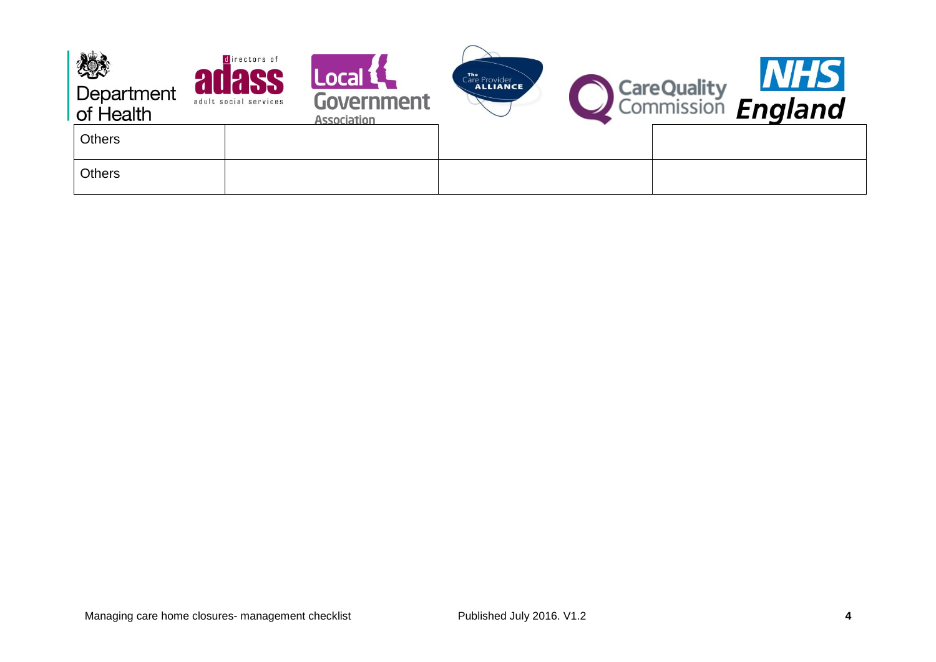| 燃<br>Department<br>of Health | directors of<br>adult social services | Local <sup>1</sup><br>Government<br><b>Association</b> | Care Provider | <b>CareQuality</b><br>Commission <b>England</b> | <b>NHS</b> |
|------------------------------|---------------------------------------|--------------------------------------------------------|---------------|-------------------------------------------------|------------|
| <b>Others</b>                |                                       |                                                        |               |                                                 |            |
| <b>Others</b>                |                                       |                                                        |               |                                                 |            |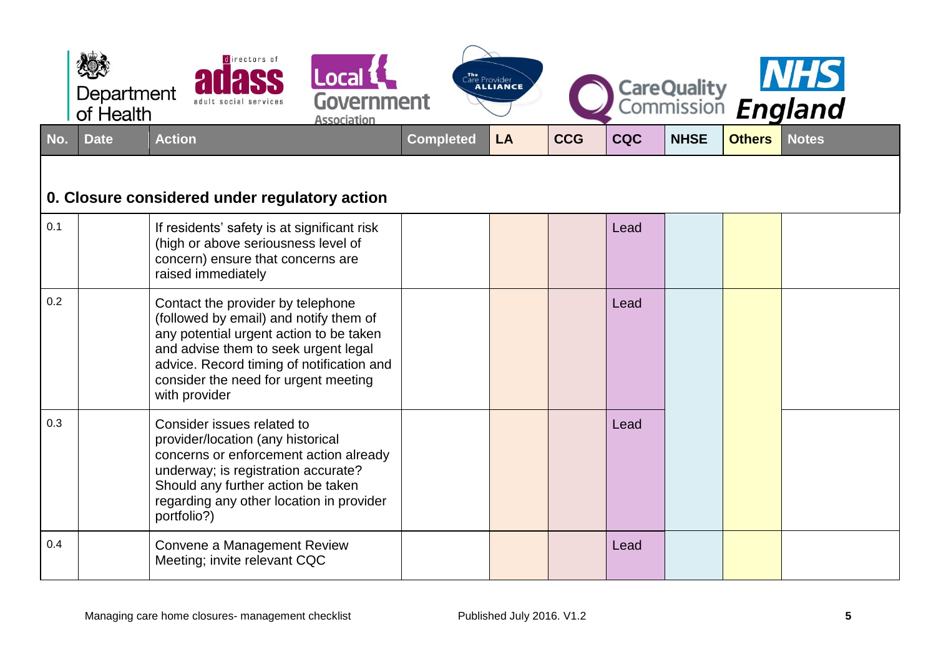<span id="page-4-0"></span>

|     | Department<br>of Health | directors of<br>adult social services                                                                                                                                                                                                                                | Local <b>1</b><br>Government<br><b>Association</b> |                  | The Provider<br><b>ALLIANCE</b> |            |            |             |               | CareQuality <b>NHS</b><br>Commission <b>England</b> |
|-----|-------------------------|----------------------------------------------------------------------------------------------------------------------------------------------------------------------------------------------------------------------------------------------------------------------|----------------------------------------------------|------------------|---------------------------------|------------|------------|-------------|---------------|-----------------------------------------------------|
| No. | <b>Date</b>             | <b>Action</b>                                                                                                                                                                                                                                                        |                                                    | <b>Completed</b> | LA                              | <b>CCG</b> | <b>CQC</b> | <b>NHSE</b> | <b>Others</b> | <b>Notes</b>                                        |
|     |                         | 0. Closure considered under regulatory action                                                                                                                                                                                                                        |                                                    |                  |                                 |            |            |             |               |                                                     |
| 0.1 |                         | If residents' safety is at significant risk<br>(high or above seriousness level of<br>concern) ensure that concerns are<br>raised immediately                                                                                                                        |                                                    |                  |                                 |            | Lead       |             |               |                                                     |
| 0.2 |                         | Contact the provider by telephone<br>(followed by email) and notify them of<br>any potential urgent action to be taken<br>and advise them to seek urgent legal<br>advice. Record timing of notification and<br>consider the need for urgent meeting<br>with provider |                                                    |                  |                                 |            | Lead       |             |               |                                                     |
| 0.3 |                         | Consider issues related to<br>provider/location (any historical<br>concerns or enforcement action already<br>underway; is registration accurate?<br>Should any further action be taken<br>regarding any other location in provider<br>portfolio?)                    |                                                    |                  |                                 |            | Lead       |             |               |                                                     |
| 0.4 |                         | Convene a Management Review<br>Meeting; invite relevant CQC                                                                                                                                                                                                          |                                                    |                  |                                 |            | Lead       |             |               |                                                     |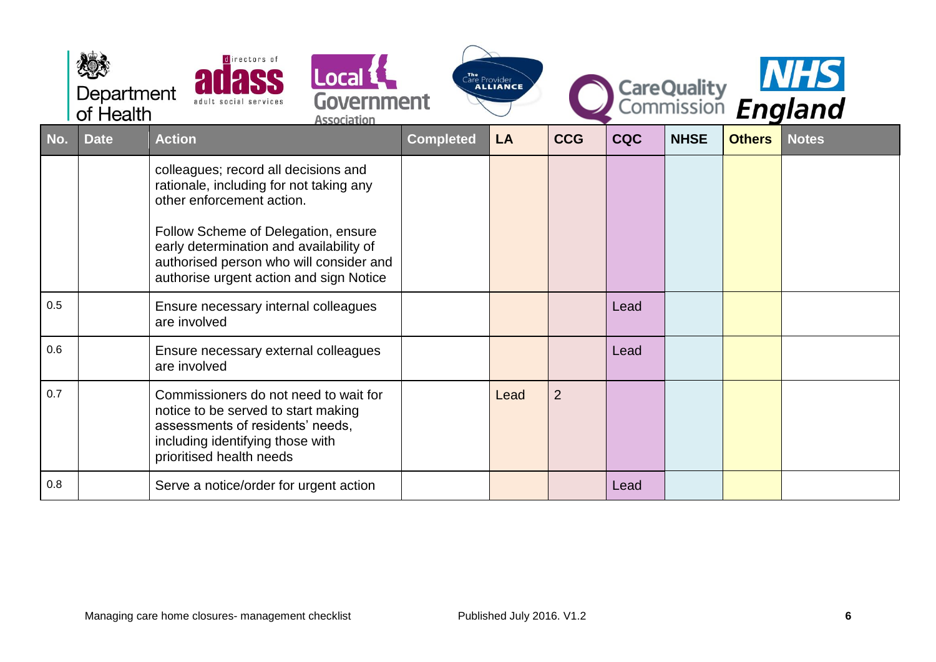|     | Department<br>of Health | directors of                                                                                                                                                                                                                                                                         | Local 1<br>Government<br><b>Association</b> |                  | The Provider |                |            |             |               | CareQuality MHS |
|-----|-------------------------|--------------------------------------------------------------------------------------------------------------------------------------------------------------------------------------------------------------------------------------------------------------------------------------|---------------------------------------------|------------------|--------------|----------------|------------|-------------|---------------|-----------------|
| No. | <b>Date</b>             | <b>Action</b>                                                                                                                                                                                                                                                                        |                                             | <b>Completed</b> | <b>LA</b>    | <b>CCG</b>     | <b>CQC</b> | <b>NHSE</b> | <b>Others</b> | <b>Notes</b>    |
|     |                         | colleagues; record all decisions and<br>rationale, including for not taking any<br>other enforcement action.<br>Follow Scheme of Delegation, ensure<br>early determination and availability of<br>authorised person who will consider and<br>authorise urgent action and sign Notice |                                             |                  |              |                |            |             |               |                 |
| 0.5 |                         | Ensure necessary internal colleagues<br>are involved                                                                                                                                                                                                                                 |                                             |                  |              |                | Lead       |             |               |                 |
| 0.6 |                         | Ensure necessary external colleagues<br>are involved                                                                                                                                                                                                                                 |                                             |                  |              |                | Lead       |             |               |                 |
| 0.7 |                         | Commissioners do not need to wait for<br>notice to be served to start making<br>assessments of residents' needs,<br>including identifying those with<br>prioritised health needs                                                                                                     |                                             |                  | Lead         | $\overline{2}$ |            |             |               |                 |
| 0.8 |                         | Serve a notice/order for urgent action                                                                                                                                                                                                                                               |                                             |                  |              |                | Lead       |             |               |                 |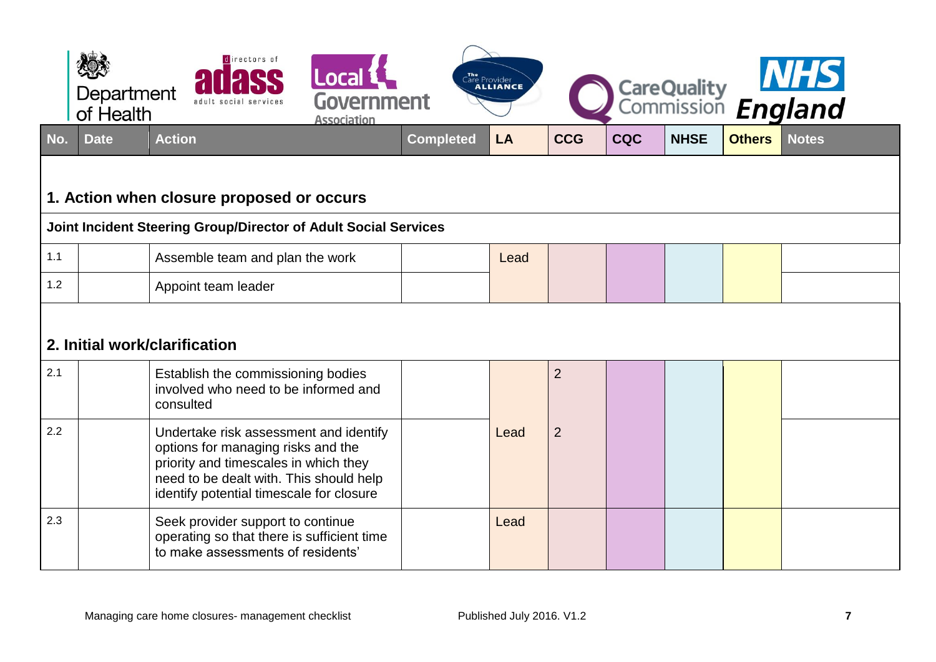<span id="page-6-0"></span>

|     | Department<br>of Health | directors of<br>Local L<br>Government<br>adult social services<br><b>Association</b>                                                                                                                         |                  | Care Provider |                |            |             |               | CareQuality MIS |
|-----|-------------------------|--------------------------------------------------------------------------------------------------------------------------------------------------------------------------------------------------------------|------------------|---------------|----------------|------------|-------------|---------------|-----------------|
| No. | <b>Date</b>             | <b>Action</b>                                                                                                                                                                                                | <b>Completed</b> | LA            | <b>CCG</b>     | <b>CQC</b> | <b>NHSE</b> | <b>Others</b> | <b>Notes</b>    |
|     |                         | 1. Action when closure proposed or occurs                                                                                                                                                                    |                  |               |                |            |             |               |                 |
|     |                         | Joint Incident Steering Group/Director of Adult Social Services                                                                                                                                              |                  |               |                |            |             |               |                 |
| 1.1 |                         | Assemble team and plan the work                                                                                                                                                                              |                  | Lead          |                |            |             |               |                 |
| 1.2 |                         | Appoint team leader                                                                                                                                                                                          |                  |               |                |            |             |               |                 |
|     |                         | 2. Initial work/clarification                                                                                                                                                                                |                  |               |                |            |             |               |                 |
| 2.1 |                         | Establish the commissioning bodies<br>involved who need to be informed and<br>consulted                                                                                                                      |                  |               | $\overline{2}$ |            |             |               |                 |
| 2.2 |                         | Undertake risk assessment and identify<br>options for managing risks and the<br>priority and timescales in which they<br>need to be dealt with. This should help<br>identify potential timescale for closure |                  | Lead          | $\overline{2}$ |            |             |               |                 |
| 2.3 |                         | Seek provider support to continue<br>operating so that there is sufficient time<br>to make assessments of residents'                                                                                         |                  | Lead          |                |            |             |               |                 |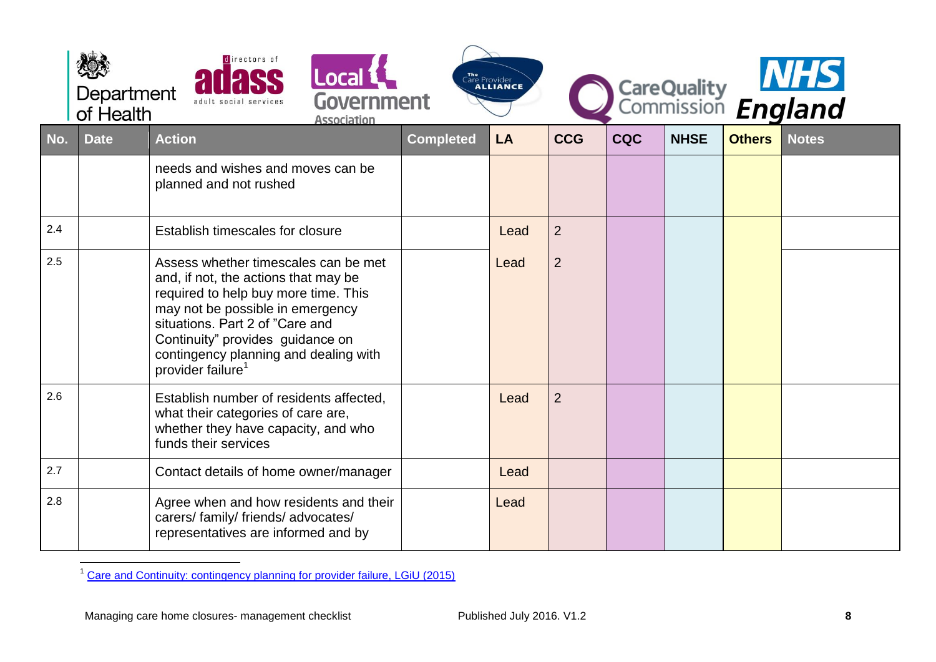|     | Department<br>of Health | directors of<br>Local 1<br><b>Government</b><br>adult social services<br><b>Association</b>                                                                                                                                                                                                               |                  | Care Provider |                |            |             |               | CareQuality <b>NHS</b><br>Commission <b>England</b> |
|-----|-------------------------|-----------------------------------------------------------------------------------------------------------------------------------------------------------------------------------------------------------------------------------------------------------------------------------------------------------|------------------|---------------|----------------|------------|-------------|---------------|-----------------------------------------------------|
| No. | <b>Date</b>             | <b>Action</b>                                                                                                                                                                                                                                                                                             | <b>Completed</b> | <b>LA</b>     | <b>CCG</b>     | <b>CQC</b> | <b>NHSE</b> | <b>Others</b> | <b>Notes</b>                                        |
|     |                         | needs and wishes and moves can be<br>planned and not rushed                                                                                                                                                                                                                                               |                  |               |                |            |             |               |                                                     |
| 2.4 |                         | Establish timescales for closure                                                                                                                                                                                                                                                                          |                  | Lead          | $\overline{2}$ |            |             |               |                                                     |
| 2.5 |                         | Assess whether timescales can be met<br>and, if not, the actions that may be<br>required to help buy more time. This<br>may not be possible in emergency<br>situations. Part 2 of "Care and<br>Continuity" provides guidance on<br>contingency planning and dealing with<br>provider failure <sup>1</sup> |                  | Lead          | $\overline{2}$ |            |             |               |                                                     |
| 2.6 |                         | Establish number of residents affected,<br>what their categories of care are,<br>whether they have capacity, and who<br>funds their services                                                                                                                                                              |                  | Lead          | $\overline{2}$ |            |             |               |                                                     |
| 2.7 |                         | Contact details of home owner/manager                                                                                                                                                                                                                                                                     |                  | Lead          |                |            |             |               |                                                     |
| 2.8 |                         | Agree when and how residents and their<br>carers/family/friends/advocates/<br>representatives are informed and by                                                                                                                                                                                         |                  | Lead          |                |            |             |               |                                                     |

 $\overline{a}$ <sup>1</sup> [Care and Continuity: contingency planning for provider failure, LGiU \(2015\)](http://www.lgiu.org.uk/report/care-and-continuity-guide/)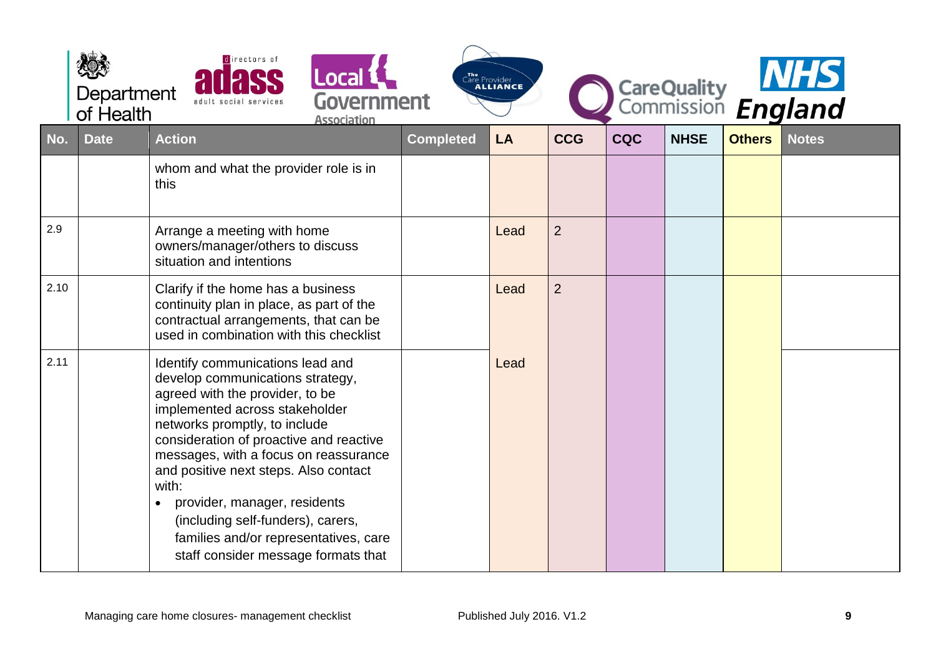|      | Department<br>of Health | directors of<br><b>Local &amp;</b><br>Government<br>adult social services<br><b>Association</b>                                                                                                                                                                                                                                                                                                                                                                       |                  | The Provider<br><b>ALLIANCE</b> |                |            |             |               | CareQuality<br>Commission England |
|------|-------------------------|-----------------------------------------------------------------------------------------------------------------------------------------------------------------------------------------------------------------------------------------------------------------------------------------------------------------------------------------------------------------------------------------------------------------------------------------------------------------------|------------------|---------------------------------|----------------|------------|-------------|---------------|-----------------------------------|
| No.  | <b>Date</b>             | <b>Action</b>                                                                                                                                                                                                                                                                                                                                                                                                                                                         | <b>Completed</b> | LA                              | <b>CCG</b>     | <b>CQC</b> | <b>NHSE</b> | <b>Others</b> | <b>Notes</b>                      |
|      |                         | whom and what the provider role is in<br>this                                                                                                                                                                                                                                                                                                                                                                                                                         |                  |                                 |                |            |             |               |                                   |
| 2.9  |                         | Arrange a meeting with home<br>owners/manager/others to discuss<br>situation and intentions                                                                                                                                                                                                                                                                                                                                                                           |                  | Lead                            | $\overline{2}$ |            |             |               |                                   |
| 2.10 |                         | Clarify if the home has a business<br>continuity plan in place, as part of the<br>contractual arrangements, that can be<br>used in combination with this checklist                                                                                                                                                                                                                                                                                                    |                  | Lead                            | $\overline{2}$ |            |             |               |                                   |
| 2.11 |                         | Identify communications lead and<br>develop communications strategy,<br>agreed with the provider, to be<br>implemented across stakeholder<br>networks promptly, to include<br>consideration of proactive and reactive<br>messages, with a focus on reassurance<br>and positive next steps. Also contact<br>with:<br>provider, manager, residents<br>(including self-funders), carers,<br>families and/or representatives, care<br>staff consider message formats that |                  | Lead                            |                |            |             |               |                                   |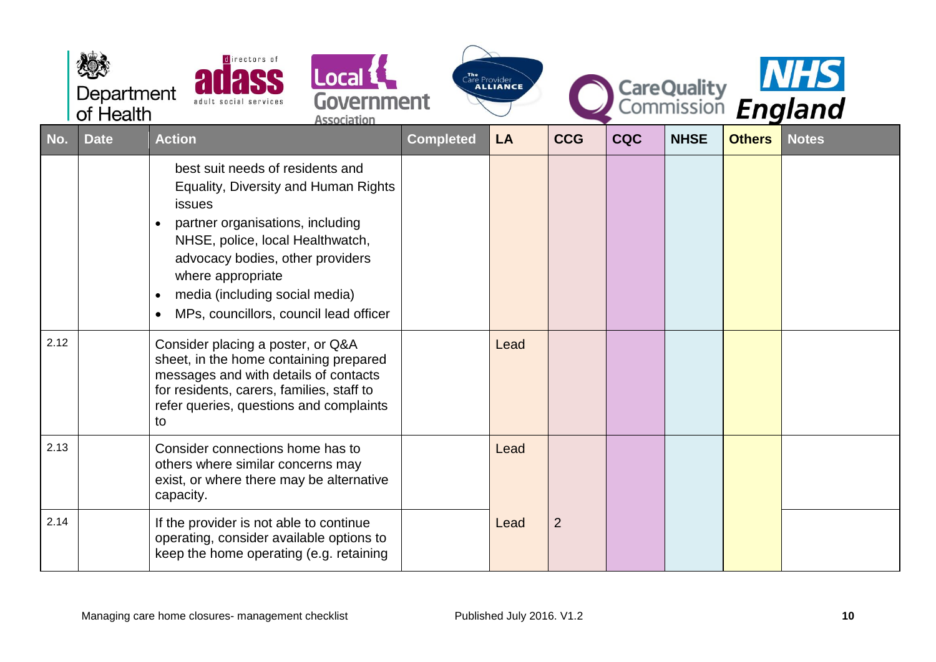|      | Department<br>of Health | directors of<br><b>Local 1</b><br>Government<br>adult social services<br><b>Association</b>                                                                                                                                                                                                                               |                  | The<br>Care Provider<br><b>ALLIANCE</b> |                |            |             |               | CareQuality MHS |
|------|-------------------------|---------------------------------------------------------------------------------------------------------------------------------------------------------------------------------------------------------------------------------------------------------------------------------------------------------------------------|------------------|-----------------------------------------|----------------|------------|-------------|---------------|-----------------|
| No.  | <b>Date</b>             | <b>Action</b>                                                                                                                                                                                                                                                                                                             | <b>Completed</b> | <b>LA</b>                               | <b>CCG</b>     | <b>CQC</b> | <b>NHSE</b> | <b>Others</b> | <b>Notes</b>    |
|      |                         | best suit needs of residents and<br>Equality, Diversity and Human Rights<br>issues<br>partner organisations, including<br>$\bullet$<br>NHSE, police, local Healthwatch,<br>advocacy bodies, other providers<br>where appropriate<br>media (including social media)<br>$\bullet$<br>MPs, councillors, council lead officer |                  |                                         |                |            |             |               |                 |
| 2.12 |                         | Consider placing a poster, or Q&A<br>sheet, in the home containing prepared<br>messages and with details of contacts<br>for residents, carers, families, staff to<br>refer queries, questions and complaints<br>to                                                                                                        |                  | Lead                                    |                |            |             |               |                 |
| 2.13 |                         | Consider connections home has to<br>others where similar concerns may<br>exist, or where there may be alternative<br>capacity.                                                                                                                                                                                            |                  | Lead                                    |                |            |             |               |                 |
| 2.14 |                         | If the provider is not able to continue<br>operating, consider available options to<br>keep the home operating (e.g. retaining                                                                                                                                                                                            |                  | Lead                                    | $\overline{2}$ |            |             |               |                 |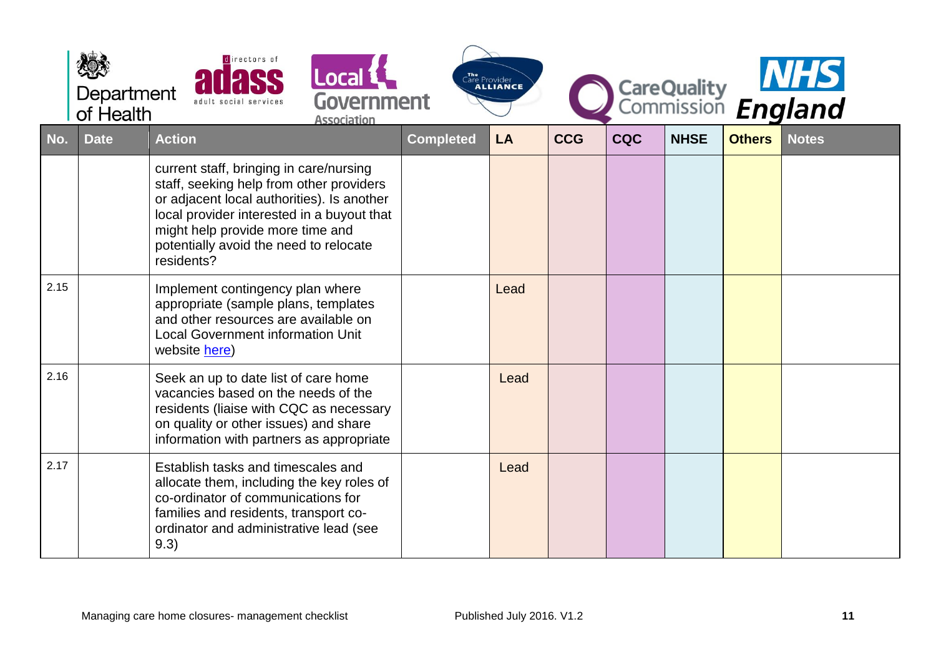|      | Department<br>of Health | directors of<br>Local L<br>Government<br>adult social services<br><b>Association</b>                                                                                                                                                                                        |                  | The Provider<br><b>ALLIANCE</b> |            |            |             |               | CareQuality<br>Commission England |
|------|-------------------------|-----------------------------------------------------------------------------------------------------------------------------------------------------------------------------------------------------------------------------------------------------------------------------|------------------|---------------------------------|------------|------------|-------------|---------------|-----------------------------------|
| No.  | <b>Date</b>             | <b>Action</b>                                                                                                                                                                                                                                                               | <b>Completed</b> | <b>LA</b>                       | <b>CCG</b> | <b>CQC</b> | <b>NHSE</b> | <b>Others</b> | <b>Notes</b>                      |
|      |                         | current staff, bringing in care/nursing<br>staff, seeking help from other providers<br>or adjacent local authorities). Is another<br>local provider interested in a buyout that<br>might help provide more time and<br>potentially avoid the need to relocate<br>residents? |                  |                                 |            |            |             |               |                                   |
| 2.15 |                         | Implement contingency plan where<br>appropriate (sample plans, templates<br>and other resources are available on<br><b>Local Government information Unit</b><br>website here)                                                                                               |                  | Lead                            |            |            |             |               |                                   |
| 2.16 |                         | Seek an up to date list of care home<br>vacancies based on the needs of the<br>residents (liaise with CQC as necessary<br>on quality or other issues) and share<br>information with partners as appropriate                                                                 |                  | Lead                            |            |            |             |               |                                   |
| 2.17 |                         | Establish tasks and timescales and<br>allocate them, including the key roles of<br>co-ordinator of communications for<br>families and residents, transport co-<br>ordinator and administrative lead (see<br>9.3)                                                            |                  | Lead                            |            |            |             |               |                                   |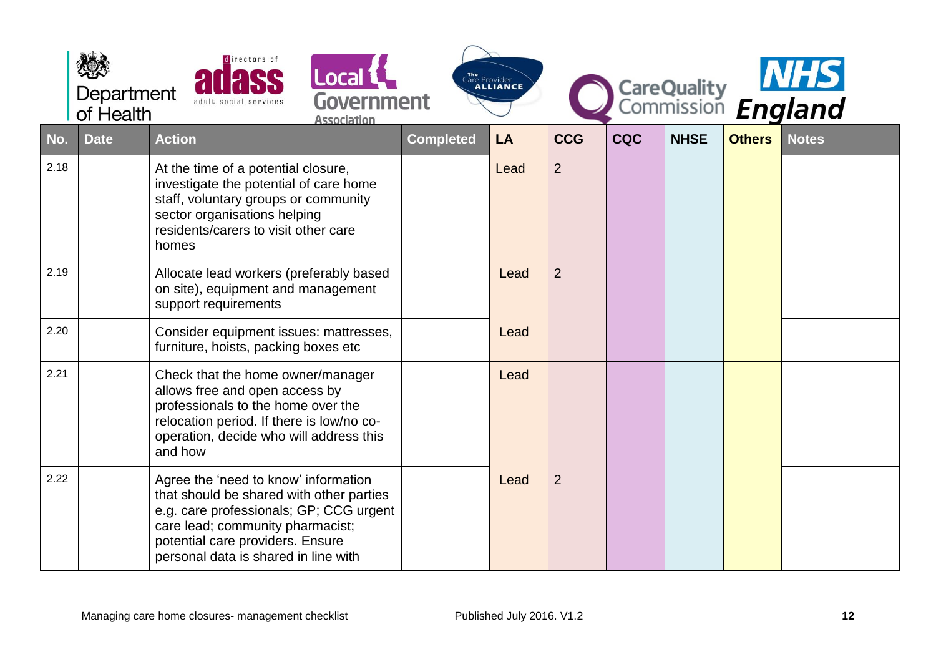|      | Department<br>of Health | directors of<br><b>Local 1</b><br>Government<br><b>Association</b>                                                                                                                                                                          |                  | The Provider<br>Care Provider |                |            |             |               | CareQuality<br>Commission England |
|------|-------------------------|---------------------------------------------------------------------------------------------------------------------------------------------------------------------------------------------------------------------------------------------|------------------|-------------------------------|----------------|------------|-------------|---------------|-----------------------------------|
| No.  | <b>Date</b>             | <b>Action</b>                                                                                                                                                                                                                               | <b>Completed</b> | <b>LA</b>                     | <b>CCG</b>     | <b>CQC</b> | <b>NHSE</b> | <b>Others</b> | <b>Notes</b>                      |
| 2.18 |                         | At the time of a potential closure,<br>investigate the potential of care home<br>staff, voluntary groups or community<br>sector organisations helping<br>residents/carers to visit other care<br>homes                                      |                  | Lead                          | $\overline{2}$ |            |             |               |                                   |
| 2.19 |                         | Allocate lead workers (preferably based<br>on site), equipment and management<br>support requirements                                                                                                                                       |                  | Lead                          | $\overline{2}$ |            |             |               |                                   |
| 2.20 |                         | Consider equipment issues: mattresses,<br>furniture, hoists, packing boxes etc                                                                                                                                                              |                  | Lead                          |                |            |             |               |                                   |
| 2.21 |                         | Check that the home owner/manager<br>allows free and open access by<br>professionals to the home over the<br>relocation period. If there is low/no co-<br>operation, decide who will address this<br>and how                                |                  | Lead                          |                |            |             |               |                                   |
| 2.22 |                         | Agree the 'need to know' information<br>that should be shared with other parties<br>e.g. care professionals; GP; CCG urgent<br>care lead; community pharmacist;<br>potential care providers. Ensure<br>personal data is shared in line with |                  | Lead                          | $\overline{2}$ |            |             |               |                                   |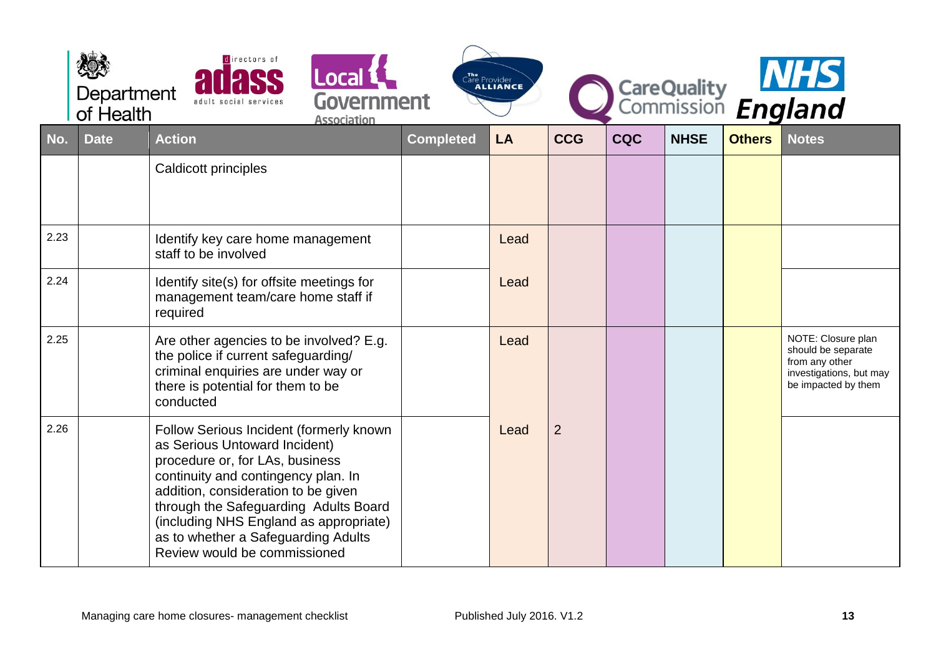|      | Department<br>of Health | directors of<br>Local <b>L</b><br>Government<br><b>Association</b>                                                                                                                                                                                                                                                                                  |                  | The Provider<br><b>ALLIANCE</b> |                |            | <b>CareQuality</b><br>Commission |               | <b>NHS</b><br>England                                                                                        |
|------|-------------------------|-----------------------------------------------------------------------------------------------------------------------------------------------------------------------------------------------------------------------------------------------------------------------------------------------------------------------------------------------------|------------------|---------------------------------|----------------|------------|----------------------------------|---------------|--------------------------------------------------------------------------------------------------------------|
| No.  | <b>Date</b>             | <b>Action</b>                                                                                                                                                                                                                                                                                                                                       | <b>Completed</b> | LA                              | <b>CCG</b>     | <b>CQC</b> | <b>NHSE</b>                      | <b>Others</b> | <b>Notes</b>                                                                                                 |
|      |                         | Caldicott principles                                                                                                                                                                                                                                                                                                                                |                  |                                 |                |            |                                  |               |                                                                                                              |
| 2.23 |                         | Identify key care home management<br>staff to be involved                                                                                                                                                                                                                                                                                           |                  | Lead                            |                |            |                                  |               |                                                                                                              |
| 2.24 |                         | Identify site(s) for offsite meetings for<br>management team/care home staff if<br>required                                                                                                                                                                                                                                                         |                  | Lead                            |                |            |                                  |               |                                                                                                              |
| 2.25 |                         | Are other agencies to be involved? E.g.<br>the police if current safeguarding/<br>criminal enquiries are under way or<br>there is potential for them to be<br>conducted                                                                                                                                                                             |                  | Lead                            |                |            |                                  |               | NOTE: Closure plan<br>should be separate<br>from any other<br>investigations, but may<br>be impacted by them |
| 2.26 |                         | Follow Serious Incident (formerly known<br>as Serious Untoward Incident)<br>procedure or, for LAs, business<br>continuity and contingency plan. In<br>addition, consideration to be given<br>through the Safeguarding Adults Board<br>(including NHS England as appropriate)<br>as to whether a Safeguarding Adults<br>Review would be commissioned |                  | Lead                            | $\overline{2}$ |            |                                  |               |                                                                                                              |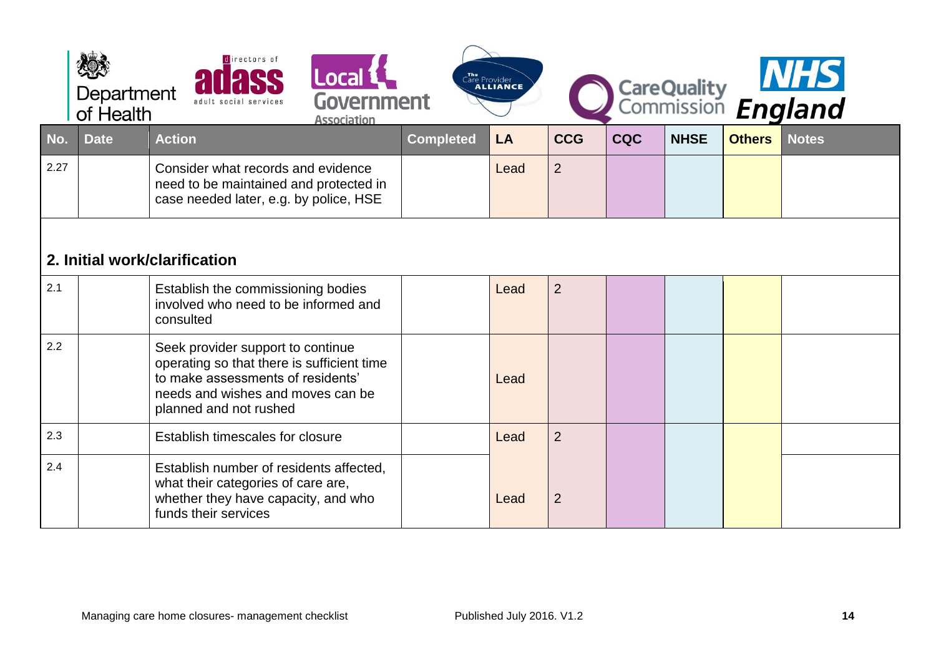<span id="page-13-0"></span>

|      | Department<br>of Health | directors of                                                                                                                                                                        | Local L<br>Government<br><b>Association</b> |                  | The<br>Care Provider<br>CALLIANCE |                |            |             |               | CareQuality MHS |
|------|-------------------------|-------------------------------------------------------------------------------------------------------------------------------------------------------------------------------------|---------------------------------------------|------------------|-----------------------------------|----------------|------------|-------------|---------------|-----------------|
| No.  | <b>Date</b>             | <b>Action</b>                                                                                                                                                                       |                                             | <b>Completed</b> | <b>LA</b>                         | <b>CCG</b>     | <b>CQC</b> | <b>NHSE</b> | <b>Others</b> | <b>Notes</b>    |
| 2.27 |                         | Consider what records and evidence<br>need to be maintained and protected in<br>case needed later, e.g. by police, HSE                                                              |                                             |                  | Lead                              | $\overline{2}$ |            |             |               |                 |
|      |                         | 2. Initial work/clarification                                                                                                                                                       |                                             |                  |                                   |                |            |             |               |                 |
| 2.1  |                         | Establish the commissioning bodies<br>involved who need to be informed and<br>consulted                                                                                             |                                             |                  | Lead                              | $\overline{2}$ |            |             |               |                 |
| 2.2  |                         | Seek provider support to continue<br>operating so that there is sufficient time<br>to make assessments of residents'<br>needs and wishes and moves can be<br>planned and not rushed |                                             |                  | Lead                              |                |            |             |               |                 |
| 2.3  |                         | Establish timescales for closure                                                                                                                                                    |                                             |                  | Lead                              | $\overline{2}$ |            |             |               |                 |
| 2.4  |                         | Establish number of residents affected,<br>what their categories of care are,<br>whether they have capacity, and who<br>funds their services                                        |                                             |                  | Lead                              | $\overline{2}$ |            |             |               |                 |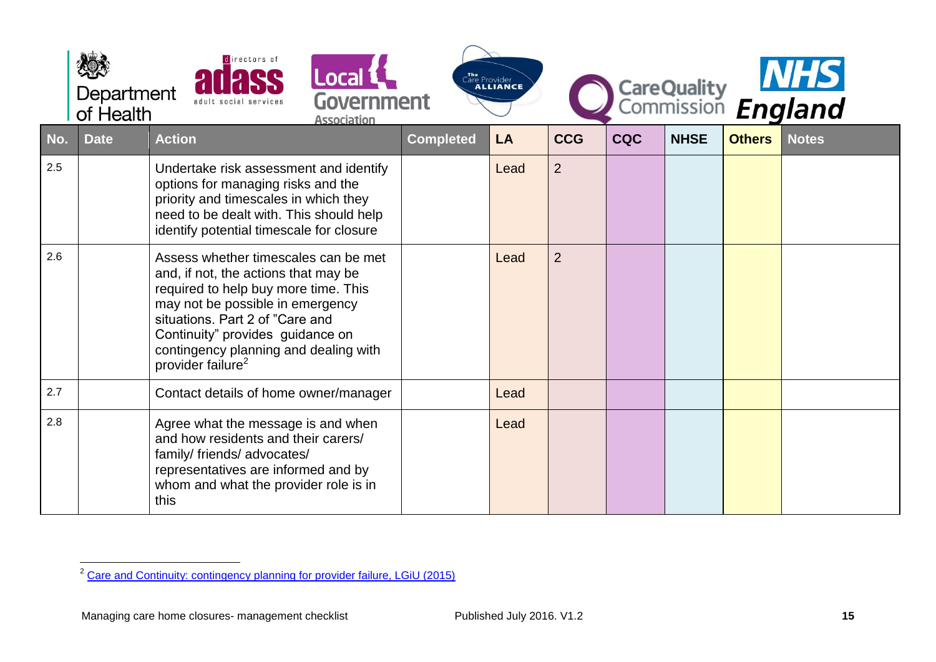|     | Department<br>of Health | directors of                                                                                                                                                                                                                                                                                              | Local <b>1</b><br>Government<br><b>Association</b> |                  | The Provider<br>Care Provider |                |            |             |               | CareQuality <b>NHS</b><br>Commission <b>England</b> |
|-----|-------------------------|-----------------------------------------------------------------------------------------------------------------------------------------------------------------------------------------------------------------------------------------------------------------------------------------------------------|----------------------------------------------------|------------------|-------------------------------|----------------|------------|-------------|---------------|-----------------------------------------------------|
| No. | <b>Date</b>             | <b>Action</b>                                                                                                                                                                                                                                                                                             |                                                    | <b>Completed</b> | LA                            | <b>CCG</b>     | <b>CQC</b> | <b>NHSE</b> | <b>Others</b> | <b>Notes</b>                                        |
| 2.5 |                         | Undertake risk assessment and identify<br>options for managing risks and the<br>priority and timescales in which they<br>need to be dealt with. This should help<br>identify potential timescale for closure                                                                                              |                                                    |                  | Lead                          | $\overline{2}$ |            |             |               |                                                     |
| 2.6 |                         | Assess whether timescales can be met<br>and, if not, the actions that may be<br>required to help buy more time. This<br>may not be possible in emergency<br>situations. Part 2 of "Care and<br>Continuity" provides guidance on<br>contingency planning and dealing with<br>provider failure <sup>2</sup> |                                                    |                  | Lead                          | $\overline{2}$ |            |             |               |                                                     |
| 2.7 |                         | Contact details of home owner/manager                                                                                                                                                                                                                                                                     |                                                    |                  | Lead                          |                |            |             |               |                                                     |
| 2.8 |                         | Agree what the message is and when<br>and how residents and their carers/<br>family/ friends/ advocates/<br>representatives are informed and by<br>whom and what the provider role is in<br>this                                                                                                          |                                                    |                  | Lead                          |                |            |             |               |                                                     |

 $\overline{a}$ <sup>2</sup> [Care and Continuity: contingency planning for provider failure, LGiU \(2015\)](http://www.lgiu.org.uk/report/care-and-continuity-guide/)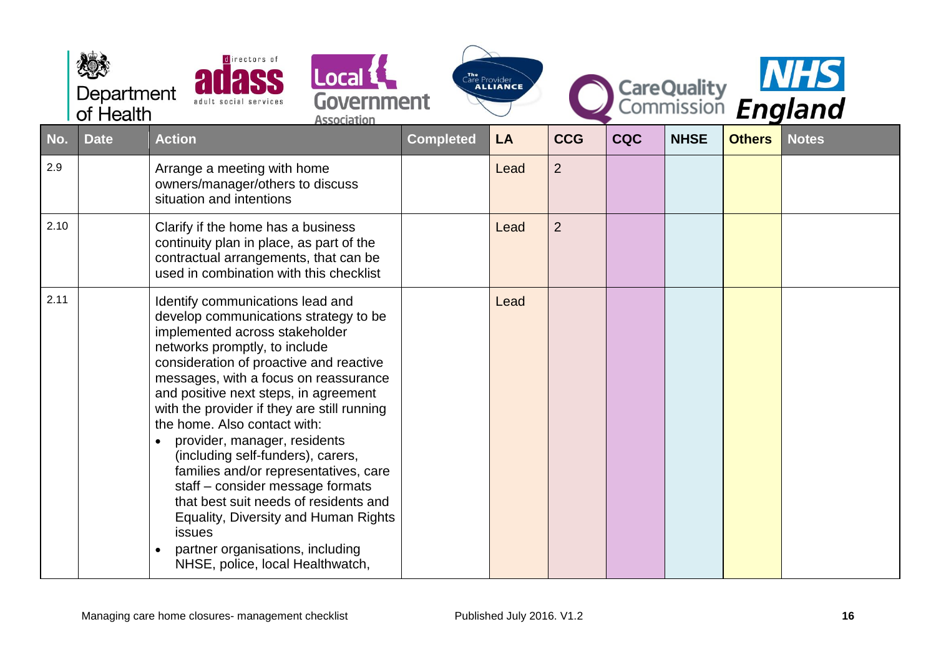|      | directors of<br>Local <b>L</b><br>Department<br>Government<br>of Health<br><b>Association</b> |                                                                                                                                                                                                                                                                                                                                                                                                                                                                                                                                                                                                                                                                                      | Care Provider    |      |                |            |             | CareQuality<br>Commission England |              |  |
|------|-----------------------------------------------------------------------------------------------|--------------------------------------------------------------------------------------------------------------------------------------------------------------------------------------------------------------------------------------------------------------------------------------------------------------------------------------------------------------------------------------------------------------------------------------------------------------------------------------------------------------------------------------------------------------------------------------------------------------------------------------------------------------------------------------|------------------|------|----------------|------------|-------------|-----------------------------------|--------------|--|
| No.  | <b>Date</b>                                                                                   | <b>Action</b>                                                                                                                                                                                                                                                                                                                                                                                                                                                                                                                                                                                                                                                                        | <b>Completed</b> | LA   | <b>CCG</b>     | <b>CQC</b> | <b>NHSE</b> | <b>Others</b>                     | <b>Notes</b> |  |
| 2.9  |                                                                                               | Arrange a meeting with home<br>owners/manager/others to discuss<br>situation and intentions                                                                                                                                                                                                                                                                                                                                                                                                                                                                                                                                                                                          |                  | Lead | $\overline{2}$ |            |             |                                   |              |  |
| 2.10 |                                                                                               | Clarify if the home has a business<br>continuity plan in place, as part of the<br>contractual arrangements, that can be<br>used in combination with this checklist                                                                                                                                                                                                                                                                                                                                                                                                                                                                                                                   |                  | Lead | $\overline{2}$ |            |             |                                   |              |  |
| 2.11 |                                                                                               | Identify communications lead and<br>develop communications strategy to be<br>implemented across stakeholder<br>networks promptly, to include<br>consideration of proactive and reactive<br>messages, with a focus on reassurance<br>and positive next steps, in agreement<br>with the provider if they are still running<br>the home. Also contact with:<br>provider, manager, residents<br>(including self-funders), carers,<br>families and/or representatives, care<br>staff - consider message formats<br>that best suit needs of residents and<br><b>Equality, Diversity and Human Rights</b><br>issues<br>partner organisations, including<br>NHSE, police, local Healthwatch, |                  | Lead |                |            |             |                                   |              |  |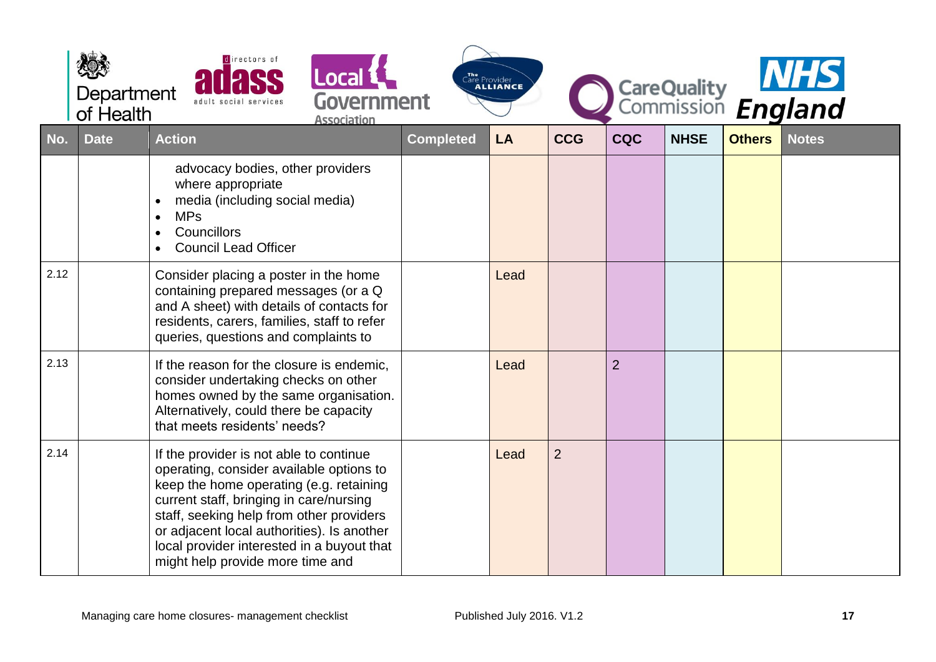|      | Department<br>of Health | directors of<br><b>Local &amp;</b><br>Government<br>adult social services<br><b>Association</b>                                                                                                                                                                                                                                                       |                  | The Provider<br><b>ALLIANCE</b> |                |                |             |               | CareQuality<br>Commission England |
|------|-------------------------|-------------------------------------------------------------------------------------------------------------------------------------------------------------------------------------------------------------------------------------------------------------------------------------------------------------------------------------------------------|------------------|---------------------------------|----------------|----------------|-------------|---------------|-----------------------------------|
| No.  | <b>Date</b>             | <b>Action</b>                                                                                                                                                                                                                                                                                                                                         | <b>Completed</b> | <b>LA</b>                       | <b>CCG</b>     | <b>CQC</b>     | <b>NHSE</b> | <b>Others</b> | <b>Notes</b>                      |
|      |                         | advocacy bodies, other providers<br>where appropriate<br>media (including social media)<br><b>MPs</b><br>$\bullet$<br>Councillors<br><b>Council Lead Officer</b>                                                                                                                                                                                      |                  |                                 |                |                |             |               |                                   |
| 2.12 |                         | Consider placing a poster in the home<br>containing prepared messages (or a Q<br>and A sheet) with details of contacts for<br>residents, carers, families, staff to refer<br>queries, questions and complaints to                                                                                                                                     |                  | Lead                            |                |                |             |               |                                   |
| 2.13 |                         | If the reason for the closure is endemic,<br>consider undertaking checks on other<br>homes owned by the same organisation.<br>Alternatively, could there be capacity<br>that meets residents' needs?                                                                                                                                                  |                  | Lead                            |                | $\overline{2}$ |             |               |                                   |
| 2.14 |                         | If the provider is not able to continue<br>operating, consider available options to<br>keep the home operating (e.g. retaining<br>current staff, bringing in care/nursing<br>staff, seeking help from other providers<br>or adjacent local authorities). Is another<br>local provider interested in a buyout that<br>might help provide more time and |                  | Lead                            | $\overline{2}$ |                |             |               |                                   |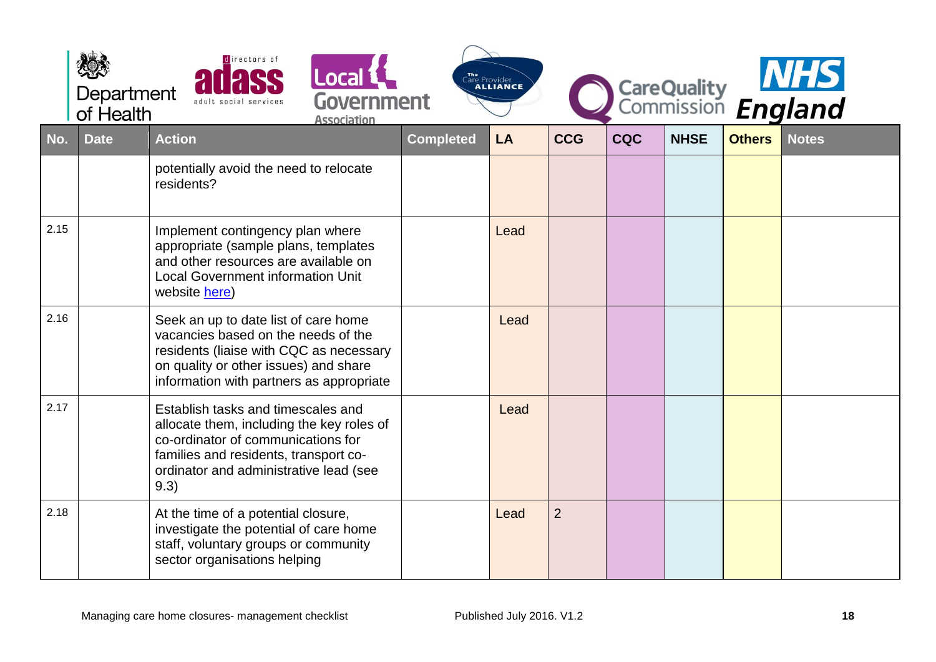|      | Department<br>of Health | directors of<br>Local <b>L</b><br>Government<br><b>Association</b>                                                                                                                                               | The<br>Care Provider<br><b>ALLIANCE</b> | CareQuality MHS |                |            |             |               |              |
|------|-------------------------|------------------------------------------------------------------------------------------------------------------------------------------------------------------------------------------------------------------|-----------------------------------------|-----------------|----------------|------------|-------------|---------------|--------------|
| No.  | <b>Date</b>             | <b>Action</b>                                                                                                                                                                                                    | <b>Completed</b>                        | LA              | <b>CCG</b>     | <b>CQC</b> | <b>NHSE</b> | <b>Others</b> | <b>Notes</b> |
|      |                         | potentially avoid the need to relocate<br>residents?                                                                                                                                                             |                                         |                 |                |            |             |               |              |
| 2.15 |                         | Implement contingency plan where<br>appropriate (sample plans, templates<br>and other resources are available on<br><b>Local Government information Unit</b><br>website here)                                    |                                         | Lead            |                |            |             |               |              |
| 2.16 |                         | Seek an up to date list of care home<br>vacancies based on the needs of the<br>residents (liaise with CQC as necessary<br>on quality or other issues) and share<br>information with partners as appropriate      |                                         | Lead            |                |            |             |               |              |
| 2.17 |                         | Establish tasks and timescales and<br>allocate them, including the key roles of<br>co-ordinator of communications for<br>families and residents, transport co-<br>ordinator and administrative lead (see<br>9.3) |                                         | Lead            |                |            |             |               |              |
| 2.18 |                         | At the time of a potential closure,<br>investigate the potential of care home<br>staff, voluntary groups or community<br>sector organisations helping                                                            |                                         | Lead            | $\overline{2}$ |            |             |               |              |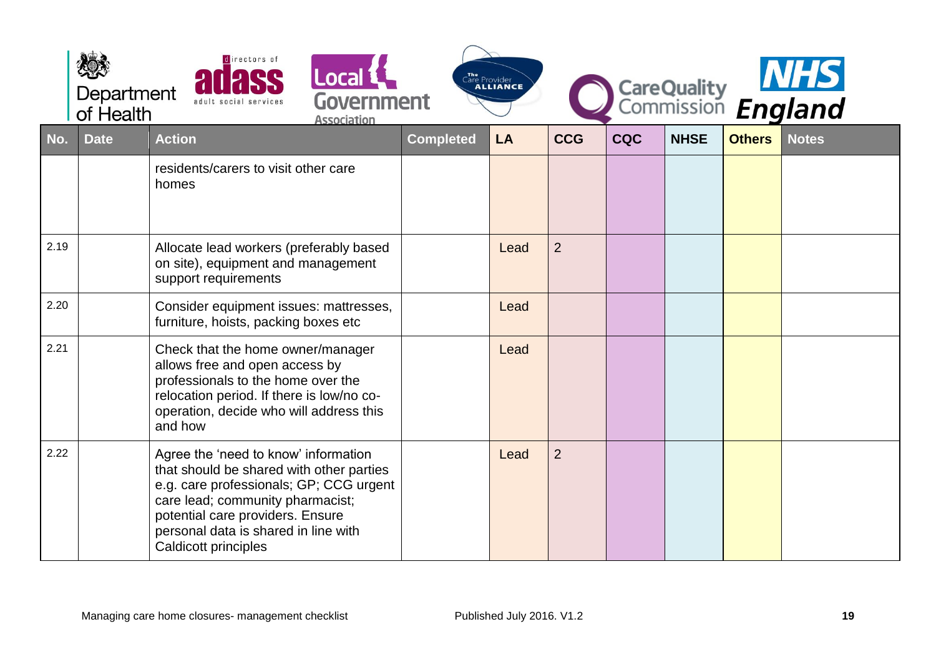|      | Department<br>of Health | directors of<br>Local L <sup>1</sup><br>Government<br>adult social services<br><b>Association</b>                                                                                                                                                                   |                  | The Provider<br><b>ALLIANCE</b> |                |            |             |               | CareQuality MIS |
|------|-------------------------|---------------------------------------------------------------------------------------------------------------------------------------------------------------------------------------------------------------------------------------------------------------------|------------------|---------------------------------|----------------|------------|-------------|---------------|-----------------|
| No.  | <b>Date</b>             | <b>Action</b>                                                                                                                                                                                                                                                       | <b>Completed</b> | LA                              | <b>CCG</b>     | <b>CQC</b> | <b>NHSE</b> | <b>Others</b> | <b>Notes</b>    |
|      |                         | residents/carers to visit other care<br>homes                                                                                                                                                                                                                       |                  |                                 |                |            |             |               |                 |
| 2.19 |                         | Allocate lead workers (preferably based<br>on site), equipment and management<br>support requirements                                                                                                                                                               |                  | Lead                            | $\overline{2}$ |            |             |               |                 |
| 2.20 |                         | Consider equipment issues: mattresses,<br>furniture, hoists, packing boxes etc                                                                                                                                                                                      |                  | Lead                            |                |            |             |               |                 |
| 2.21 |                         | Check that the home owner/manager<br>allows free and open access by<br>professionals to the home over the<br>relocation period. If there is low/no co-<br>operation, decide who will address this<br>and how                                                        |                  | Lead                            |                |            |             |               |                 |
| 2.22 |                         | Agree the 'need to know' information<br>that should be shared with other parties<br>e.g. care professionals; GP; CCG urgent<br>care lead; community pharmacist;<br>potential care providers. Ensure<br>personal data is shared in line with<br>Caldicott principles |                  | Lead                            | $\overline{2}$ |            |             |               |                 |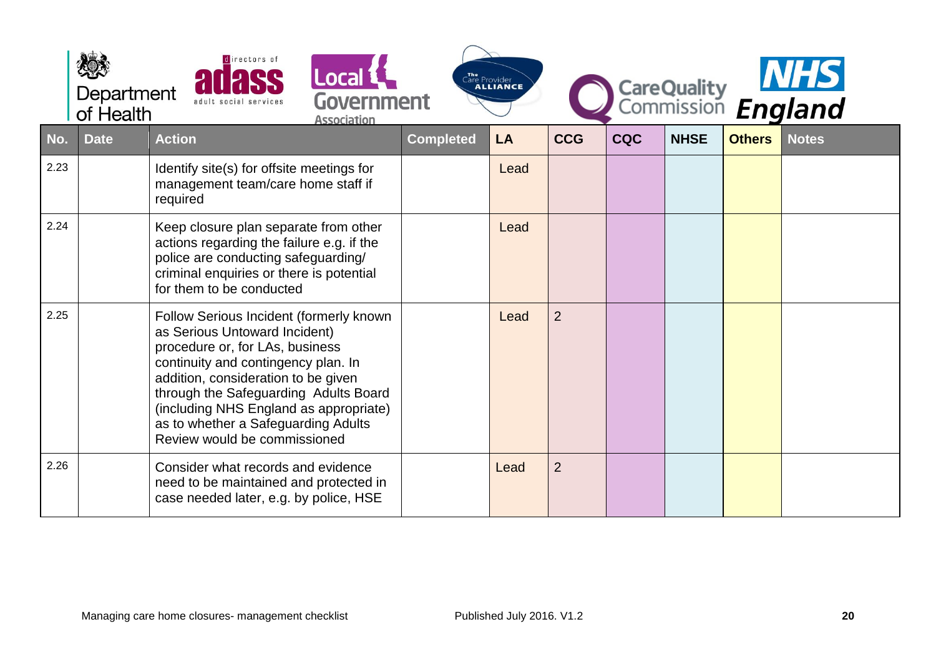|      | Department<br>of Health | directors of<br>adult social services                                                                                                                                                                                                                                                                                                               | Local L<br>Government<br><b>Association</b> |                  | The<br>Care Provider<br>Calliance |                |            |             |               | CareQuality MHS |
|------|-------------------------|-----------------------------------------------------------------------------------------------------------------------------------------------------------------------------------------------------------------------------------------------------------------------------------------------------------------------------------------------------|---------------------------------------------|------------------|-----------------------------------|----------------|------------|-------------|---------------|-----------------|
| No.  | <b>Date</b>             | <b>Action</b>                                                                                                                                                                                                                                                                                                                                       |                                             | <b>Completed</b> | LA                                | <b>CCG</b>     | <b>CQC</b> | <b>NHSE</b> | <b>Others</b> | <b>Notes</b>    |
| 2.23 |                         | Identify site(s) for offsite meetings for<br>management team/care home staff if<br>required                                                                                                                                                                                                                                                         |                                             |                  | Lead                              |                |            |             |               |                 |
| 2.24 |                         | Keep closure plan separate from other<br>actions regarding the failure e.g. if the<br>police are conducting safeguarding/<br>criminal enquiries or there is potential<br>for them to be conducted                                                                                                                                                   |                                             |                  | Lead                              |                |            |             |               |                 |
| 2.25 |                         | Follow Serious Incident (formerly known<br>as Serious Untoward Incident)<br>procedure or, for LAs, business<br>continuity and contingency plan. In<br>addition, consideration to be given<br>through the Safeguarding Adults Board<br>(including NHS England as appropriate)<br>as to whether a Safeguarding Adults<br>Review would be commissioned |                                             |                  | Lead                              | $\overline{2}$ |            |             |               |                 |
| 2.26 |                         | Consider what records and evidence<br>need to be maintained and protected in<br>case needed later, e.g. by police, HSE                                                                                                                                                                                                                              |                                             |                  | Lead                              | $\overline{2}$ |            |             |               |                 |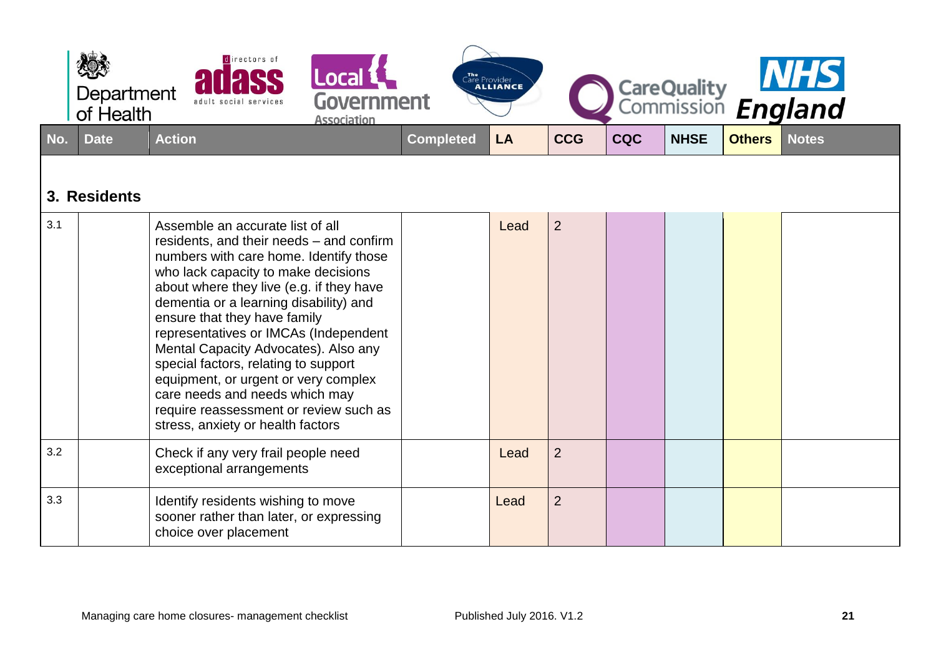<span id="page-20-0"></span>

|     | Department<br>of Health | directors of<br>adult social services                                                                                                                                                                                                                                                                                                                                                                                                                                                                                                                                 | Local L<br>Government<br><b>Association</b> |                  | The Provider<br><b>ALLIANCE</b> |                |            |             |               | CareQuality MHS |
|-----|-------------------------|-----------------------------------------------------------------------------------------------------------------------------------------------------------------------------------------------------------------------------------------------------------------------------------------------------------------------------------------------------------------------------------------------------------------------------------------------------------------------------------------------------------------------------------------------------------------------|---------------------------------------------|------------------|---------------------------------|----------------|------------|-------------|---------------|-----------------|
| No. | <b>Date</b>             | <b>Action</b>                                                                                                                                                                                                                                                                                                                                                                                                                                                                                                                                                         |                                             | <b>Completed</b> | LA                              | <b>CCG</b>     | <b>CQC</b> | <b>NHSE</b> | <b>Others</b> | <b>Notes</b>    |
|     | 3. Residents            |                                                                                                                                                                                                                                                                                                                                                                                                                                                                                                                                                                       |                                             |                  |                                 |                |            |             |               |                 |
| 3.1 |                         | Assemble an accurate list of all<br>residents, and their needs - and confirm<br>numbers with care home. Identify those<br>who lack capacity to make decisions<br>about where they live (e.g. if they have<br>dementia or a learning disability) and<br>ensure that they have family<br>representatives or IMCAs (Independent<br>Mental Capacity Advocates). Also any<br>special factors, relating to support<br>equipment, or urgent or very complex<br>care needs and needs which may<br>require reassessment or review such as<br>stress, anxiety or health factors |                                             |                  | Lead                            | $\overline{2}$ |            |             |               |                 |
| 3.2 |                         | Check if any very frail people need<br>exceptional arrangements                                                                                                                                                                                                                                                                                                                                                                                                                                                                                                       |                                             |                  | Lead                            | $\overline{2}$ |            |             |               |                 |
| 3.3 |                         | Identify residents wishing to move<br>sooner rather than later, or expressing<br>choice over placement                                                                                                                                                                                                                                                                                                                                                                                                                                                                |                                             |                  | Lead                            | $\overline{2}$ |            |             |               |                 |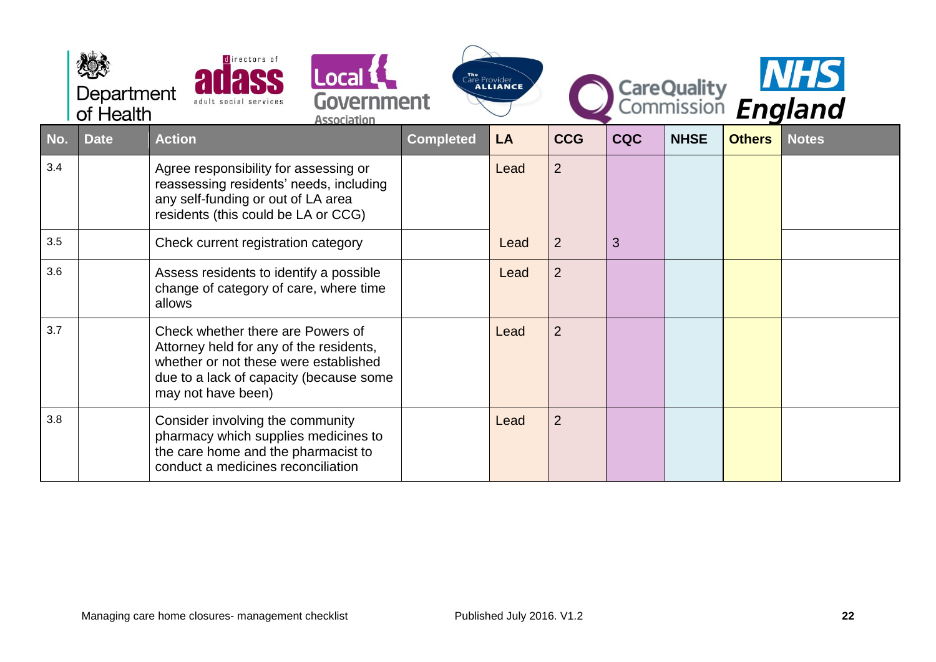|     | Department<br>of Health | directors of<br>Local <b>L</b><br><b>Government</b><br><b>Association</b>                                                                                                              |                  | The Provider<br>ALLIANCE |                |            |             |               | CareQuality<br>Commission England |
|-----|-------------------------|----------------------------------------------------------------------------------------------------------------------------------------------------------------------------------------|------------------|--------------------------|----------------|------------|-------------|---------------|-----------------------------------|
| No. | <b>Date</b>             | <b>Action</b>                                                                                                                                                                          | <b>Completed</b> | LA                       | <b>CCG</b>     | <b>CQC</b> | <b>NHSE</b> | <b>Others</b> | <b>Notes</b>                      |
| 3.4 |                         | Agree responsibility for assessing or<br>reassessing residents' needs, including<br>any self-funding or out of LA area<br>residents (this could be LA or CCG)                          |                  | Lead                     | $\overline{2}$ |            |             |               |                                   |
| 3.5 |                         | Check current registration category                                                                                                                                                    |                  | Lead                     | $\overline{2}$ | 3          |             |               |                                   |
| 3.6 |                         | Assess residents to identify a possible<br>change of category of care, where time<br>allows                                                                                            |                  | Lead                     | $\overline{2}$ |            |             |               |                                   |
| 3.7 |                         | Check whether there are Powers of<br>Attorney held for any of the residents,<br>whether or not these were established<br>due to a lack of capacity (because some<br>may not have been) |                  | Lead                     | $\overline{2}$ |            |             |               |                                   |
| 3.8 |                         | Consider involving the community<br>pharmacy which supplies medicines to<br>the care home and the pharmacist to<br>conduct a medicines reconciliation                                  |                  | Lead                     | $\overline{2}$ |            |             |               |                                   |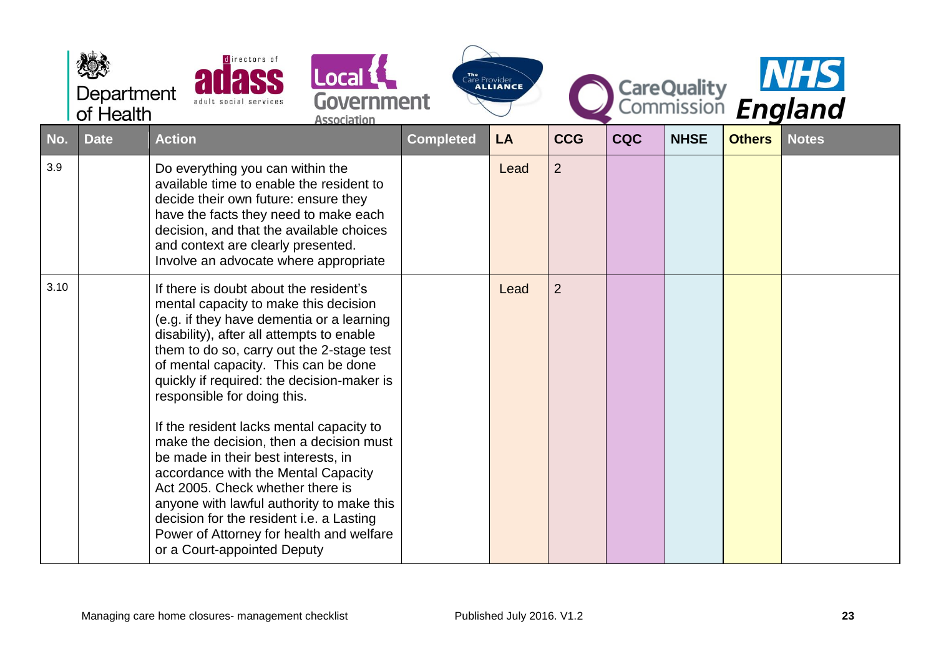|      | Department<br>of Health | directors of<br>adult social services                                                                                                                                                                                                                                                                                                                                                                                                                                                                                                                                                                                                                                                                                    | Local <b>L</b><br>Government<br><b>Association</b> |                  | The Provider<br><b>ALLIANCE</b> |                |            |             |               | CareQuality<br>Commission England |
|------|-------------------------|--------------------------------------------------------------------------------------------------------------------------------------------------------------------------------------------------------------------------------------------------------------------------------------------------------------------------------------------------------------------------------------------------------------------------------------------------------------------------------------------------------------------------------------------------------------------------------------------------------------------------------------------------------------------------------------------------------------------------|----------------------------------------------------|------------------|---------------------------------|----------------|------------|-------------|---------------|-----------------------------------|
| No.  | <b>Date</b>             | <b>Action</b>                                                                                                                                                                                                                                                                                                                                                                                                                                                                                                                                                                                                                                                                                                            |                                                    | <b>Completed</b> | LA                              | <b>CCG</b>     | <b>CQC</b> | <b>NHSE</b> | <b>Others</b> | <b>Notes</b>                      |
| 3.9  |                         | Do everything you can within the<br>available time to enable the resident to<br>decide their own future: ensure they<br>have the facts they need to make each<br>decision, and that the available choices<br>and context are clearly presented.<br>Involve an advocate where appropriate                                                                                                                                                                                                                                                                                                                                                                                                                                 |                                                    |                  | Lead                            | $\overline{2}$ |            |             |               |                                   |
| 3.10 |                         | If there is doubt about the resident's<br>mental capacity to make this decision<br>(e.g. if they have dementia or a learning<br>disability), after all attempts to enable<br>them to do so, carry out the 2-stage test<br>of mental capacity. This can be done<br>quickly if required: the decision-maker is<br>responsible for doing this.<br>If the resident lacks mental capacity to<br>make the decision, then a decision must<br>be made in their best interests, in<br>accordance with the Mental Capacity<br>Act 2005. Check whether there is<br>anyone with lawful authority to make this<br>decision for the resident i.e. a Lasting<br>Power of Attorney for health and welfare<br>or a Court-appointed Deputy |                                                    |                  | Lead                            | $\overline{2}$ |            |             |               |                                   |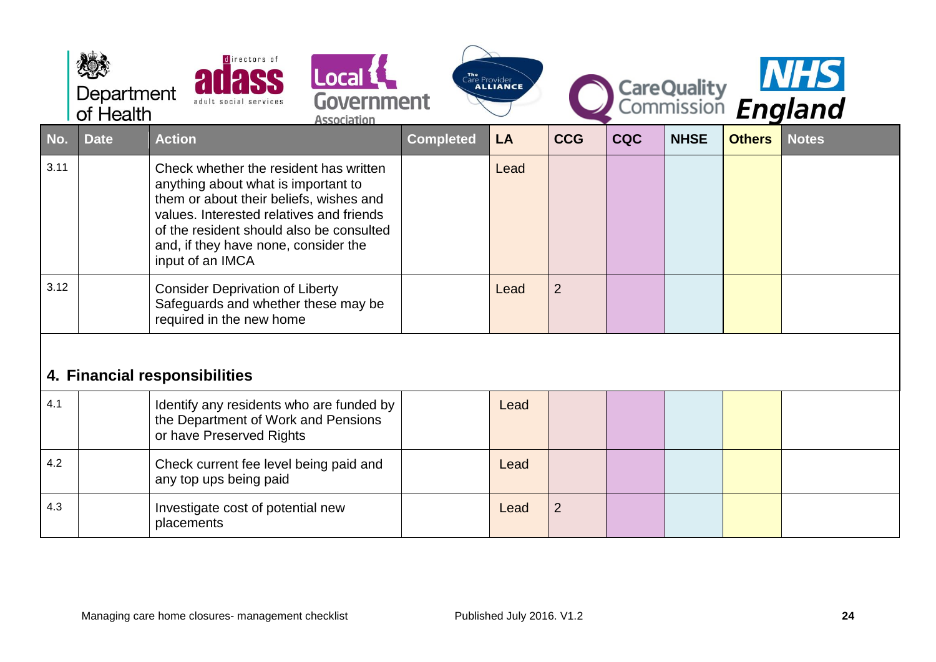<span id="page-23-0"></span>

|      | Department<br>of Health | directors of<br>adult social services                                                                                                                                                                                                                                        | CareQuality<br>Commission England<br>Care Provider |           |                |            |             |               |              |
|------|-------------------------|------------------------------------------------------------------------------------------------------------------------------------------------------------------------------------------------------------------------------------------------------------------------------|----------------------------------------------------|-----------|----------------|------------|-------------|---------------|--------------|
| No.  | <b>Date</b>             | <b>Action</b>                                                                                                                                                                                                                                                                | <b>Completed</b>                                   | <b>LA</b> | <b>CCG</b>     | <b>CQC</b> | <b>NHSE</b> | <b>Others</b> | <b>Notes</b> |
| 3.11 |                         | Check whether the resident has written<br>anything about what is important to<br>them or about their beliefs, wishes and<br>values. Interested relatives and friends<br>of the resident should also be consulted<br>and, if they have none, consider the<br>input of an IMCA |                                                    | Lead      |                |            |             |               |              |
| 3.12 |                         | <b>Consider Deprivation of Liberty</b><br>Safeguards and whether these may be<br>required in the new home                                                                                                                                                                    |                                                    | Lead      | $\overline{2}$ |            |             |               |              |
|      |                         | 4. Financial responsibilities                                                                                                                                                                                                                                                |                                                    |           |                |            |             |               |              |
| 4.1  |                         | Identify any residents who are funded by<br>the Department of Work and Pensions<br>or have Preserved Rights                                                                                                                                                                  |                                                    | Lead      |                |            |             |               |              |
| 4.2  |                         | Check current fee level being paid and<br>any top ups being paid                                                                                                                                                                                                             |                                                    | Lead      |                |            |             |               |              |
| 4.3  |                         | Investigate cost of potential new<br>placements                                                                                                                                                                                                                              |                                                    | Lead      | $\overline{2}$ |            |             |               |              |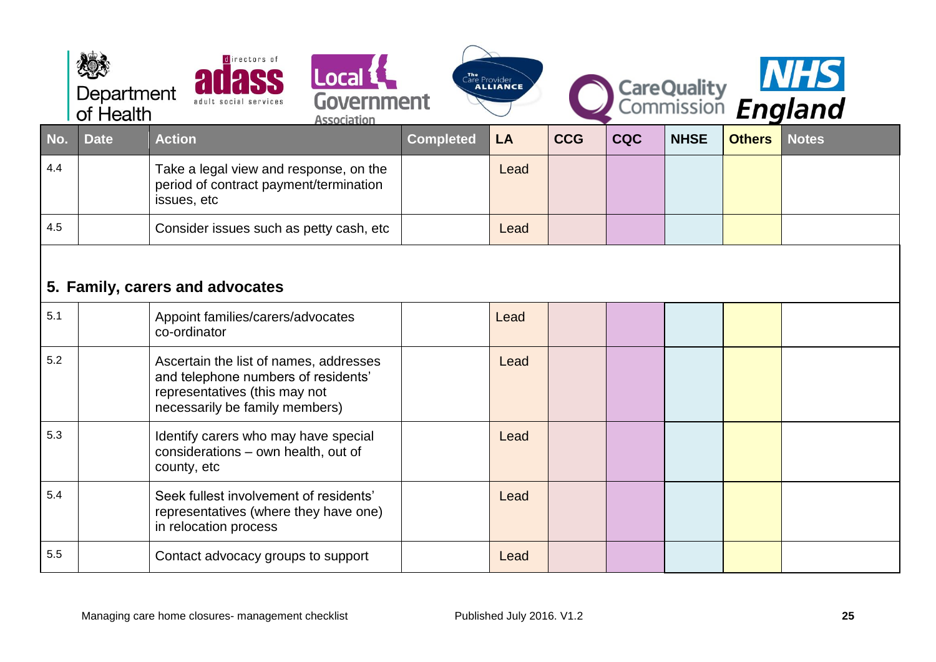<span id="page-24-0"></span>

|        | Department<br>of Health | directors of<br>Local 1<br>Government<br>adult social services<br><b>Association</b>                                                             |                  | The Provider<br><b>ALLIANCE</b> |            |            |             |               | CareQuality MHS<br>Commission England |
|--------|-------------------------|--------------------------------------------------------------------------------------------------------------------------------------------------|------------------|---------------------------------|------------|------------|-------------|---------------|---------------------------------------|
| $N$ o. | <b>Date</b>             | <b>Action</b>                                                                                                                                    | <b>Completed</b> | LA                              | <b>CCG</b> | <b>CQC</b> | <b>NHSE</b> | <b>Others</b> | <b>Notes</b>                          |
| 4.4    |                         | Take a legal view and response, on the<br>period of contract payment/termination<br>issues, etc                                                  |                  | Lead                            |            |            |             |               |                                       |
| 4.5    |                         | Consider issues such as petty cash, etc                                                                                                          |                  | Lead                            |            |            |             |               |                                       |
|        |                         | 5. Family, carers and advocates                                                                                                                  |                  |                                 |            |            |             |               |                                       |
| 5.1    |                         | Appoint families/carers/advocates<br>co-ordinator                                                                                                |                  | Lead                            |            |            |             |               |                                       |
| 5.2    |                         | Ascertain the list of names, addresses<br>and telephone numbers of residents'<br>representatives (this may not<br>necessarily be family members) |                  | Lead                            |            |            |             |               |                                       |
| 5.3    |                         | Identify carers who may have special<br>considerations - own health, out of<br>county, etc                                                       |                  | Lead                            |            |            |             |               |                                       |
| 5.4    |                         | Seek fullest involvement of residents'<br>representatives (where they have one)<br>in relocation process                                         |                  | Lead                            |            |            |             |               |                                       |
| 5.5    |                         | Contact advocacy groups to support                                                                                                               |                  | Lead                            |            |            |             |               |                                       |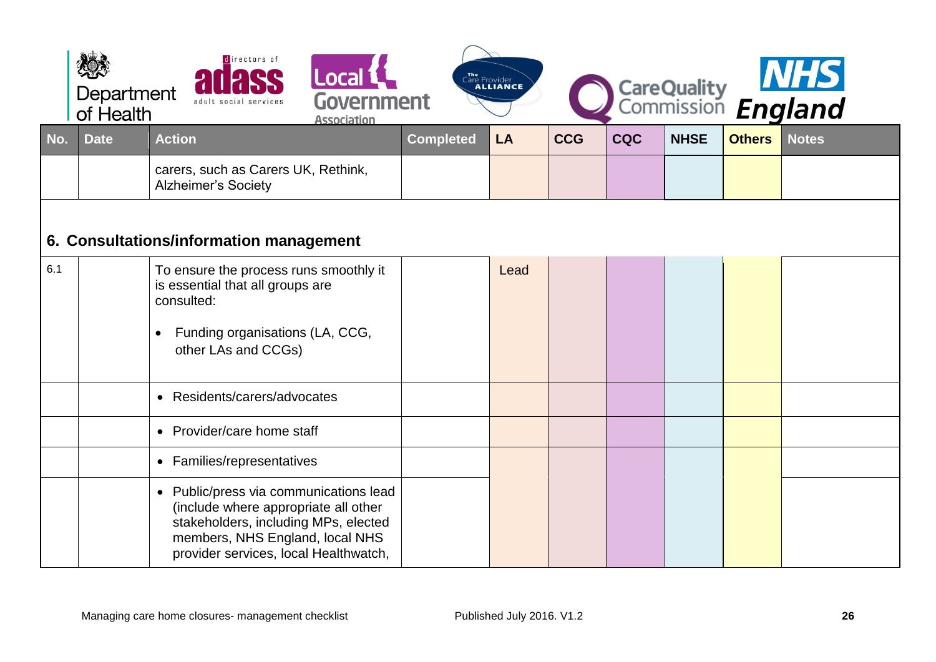<span id="page-25-0"></span>

|     | Department<br>of Health | directors of<br>Local <b>1</b><br>Government<br>adult social services<br><b>Association</b>                                                                                                        |                  | The<br>Care Provider<br><b>ALLIANCE</b> |            |            |             |               | CareQuality <b>NHS</b><br>Commission <i>England</i> |
|-----|-------------------------|----------------------------------------------------------------------------------------------------------------------------------------------------------------------------------------------------|------------------|-----------------------------------------|------------|------------|-------------|---------------|-----------------------------------------------------|
| No. | <b>Date</b>             | <b>Action</b>                                                                                                                                                                                      | <b>Completed</b> | LA                                      | <b>CCG</b> | <b>CQC</b> | <b>NHSE</b> | <b>Others</b> | <b>Notes</b>                                        |
|     |                         | carers, such as Carers UK, Rethink,<br><b>Alzheimer's Society</b>                                                                                                                                  |                  |                                         |            |            |             |               |                                                     |
|     |                         | 6. Consultations/information management                                                                                                                                                            |                  |                                         |            |            |             |               |                                                     |
| 6.1 |                         | To ensure the process runs smoothly it<br>is essential that all groups are<br>consulted:<br>Funding organisations (LA, CCG,<br>$\bullet$<br>other LAs and CCGs)                                    |                  | Lead                                    |            |            |             |               |                                                     |
|     |                         | • Residents/carers/advocates                                                                                                                                                                       |                  |                                         |            |            |             |               |                                                     |
|     |                         | • Provider/care home staff                                                                                                                                                                         |                  |                                         |            |            |             |               |                                                     |
|     |                         | • Families/representatives                                                                                                                                                                         |                  |                                         |            |            |             |               |                                                     |
|     |                         | • Public/press via communications lead<br>(include where appropriate all other<br>stakeholders, including MPs, elected<br>members, NHS England, local NHS<br>provider services, local Healthwatch, |                  |                                         |            |            |             |               |                                                     |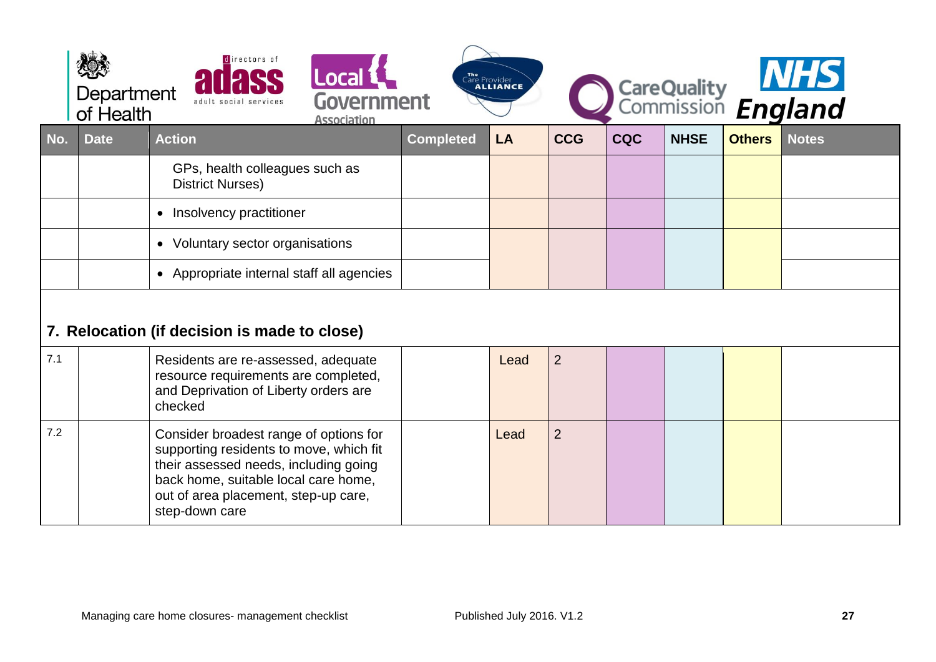<span id="page-26-0"></span>

|     | Department<br>of Health | irectors of                                                                                                                                                                                                                  | Local L<br><b>Government</b><br><b>Association</b> |                  | The Provider<br><b>ALLIANCE</b> |                |            |             |               | CareQuality <b>NHS</b><br>Commission <i>England</i> |
|-----|-------------------------|------------------------------------------------------------------------------------------------------------------------------------------------------------------------------------------------------------------------------|----------------------------------------------------|------------------|---------------------------------|----------------|------------|-------------|---------------|-----------------------------------------------------|
| No. | <b>Date</b>             | <b>Action</b>                                                                                                                                                                                                                |                                                    | <b>Completed</b> | LA                              | <b>CCG</b>     | <b>CQC</b> | <b>NHSE</b> | <b>Others</b> | <b>Notes</b>                                        |
|     |                         | GPs, health colleagues such as<br><b>District Nurses)</b>                                                                                                                                                                    |                                                    |                  |                                 |                |            |             |               |                                                     |
|     |                         | Insolvency practitioner<br>$\bullet$                                                                                                                                                                                         |                                                    |                  |                                 |                |            |             |               |                                                     |
|     |                         | Voluntary sector organisations<br>$\bullet$                                                                                                                                                                                  |                                                    |                  |                                 |                |            |             |               |                                                     |
|     |                         | • Appropriate internal staff all agencies                                                                                                                                                                                    |                                                    |                  |                                 |                |            |             |               |                                                     |
|     |                         | 7. Relocation (if decision is made to close)                                                                                                                                                                                 |                                                    |                  |                                 |                |            |             |               |                                                     |
| 7.1 |                         | Residents are re-assessed, adequate<br>resource requirements are completed,<br>and Deprivation of Liberty orders are<br>checked                                                                                              |                                                    |                  | Lead                            | $\overline{2}$ |            |             |               |                                                     |
| 7.2 |                         | Consider broadest range of options for<br>supporting residents to move, which fit<br>their assessed needs, including going<br>back home, suitable local care home,<br>out of area placement, step-up care,<br>step-down care |                                                    |                  | Lead                            | $\overline{2}$ |            |             |               |                                                     |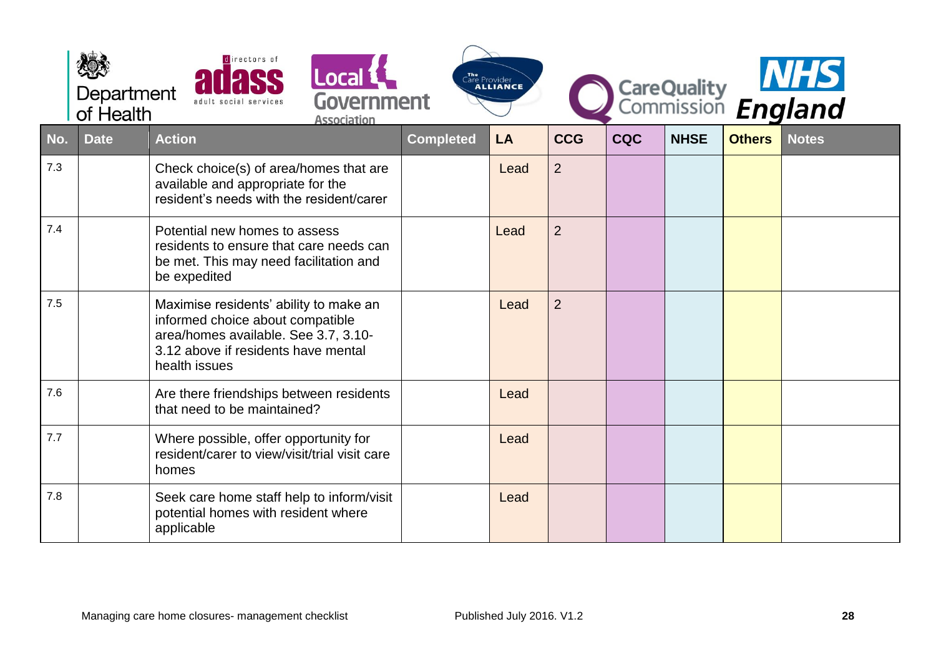|     | Department<br>of Health | directors of<br>adult social services                                                                                                                                      | Local &<br><b>Government</b><br><b>Association</b> |                  | Care Provider |                |            |             |               | CareQuality <b>NHS</b><br>Commission <b>England</b> |
|-----|-------------------------|----------------------------------------------------------------------------------------------------------------------------------------------------------------------------|----------------------------------------------------|------------------|---------------|----------------|------------|-------------|---------------|-----------------------------------------------------|
| No. | <b>Date</b>             | <b>Action</b>                                                                                                                                                              |                                                    | <b>Completed</b> | <b>LA</b>     | <b>CCG</b>     | <b>CQC</b> | <b>NHSE</b> | <b>Others</b> | <b>Notes</b>                                        |
| 7.3 |                         | Check choice(s) of area/homes that are<br>available and appropriate for the<br>resident's needs with the resident/carer                                                    |                                                    |                  | Lead          | $\overline{2}$ |            |             |               |                                                     |
| 7.4 |                         | Potential new homes to assess<br>residents to ensure that care needs can<br>be met. This may need facilitation and<br>be expedited                                         |                                                    |                  | Lead          | $\overline{2}$ |            |             |               |                                                     |
| 7.5 |                         | Maximise residents' ability to make an<br>informed choice about compatible<br>area/homes available. See 3.7, 3.10-<br>3.12 above if residents have mental<br>health issues |                                                    |                  | Lead          | $\overline{2}$ |            |             |               |                                                     |
| 7.6 |                         | Are there friendships between residents<br>that need to be maintained?                                                                                                     |                                                    |                  | Lead          |                |            |             |               |                                                     |
| 7.7 |                         | Where possible, offer opportunity for<br>resident/carer to view/visit/trial visit care<br>homes                                                                            |                                                    |                  | Lead          |                |            |             |               |                                                     |
| 7.8 |                         | Seek care home staff help to inform/visit<br>potential homes with resident where<br>applicable                                                                             |                                                    |                  | Lead          |                |            |             |               |                                                     |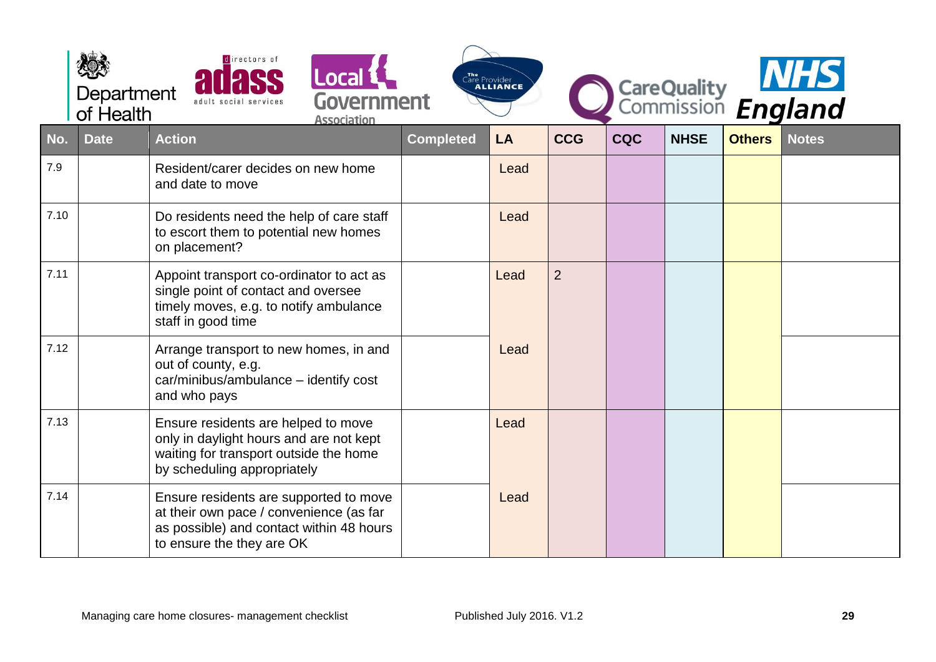|      | Department<br>of Health | directors of<br>Local L<br>Government<br><b>Association</b>                                                                                                |                  | The Provider<br><b>ALLIANCE</b> |                |            |             |               | CareQuality<br>Commission England |
|------|-------------------------|------------------------------------------------------------------------------------------------------------------------------------------------------------|------------------|---------------------------------|----------------|------------|-------------|---------------|-----------------------------------|
| No.  | <b>Date</b>             | <b>Action</b>                                                                                                                                              | <b>Completed</b> | LA                              | <b>CCG</b>     | <b>CQC</b> | <b>NHSE</b> | <b>Others</b> | <b>Notes</b>                      |
| 7.9  |                         | Resident/carer decides on new home<br>and date to move                                                                                                     |                  | Lead                            |                |            |             |               |                                   |
| 7.10 |                         | Do residents need the help of care staff<br>to escort them to potential new homes<br>on placement?                                                         |                  | Lead                            |                |            |             |               |                                   |
| 7.11 |                         | Appoint transport co-ordinator to act as<br>single point of contact and oversee<br>timely moves, e.g. to notify ambulance<br>staff in good time            |                  | Lead                            | $\overline{2}$ |            |             |               |                                   |
| 7.12 |                         | Arrange transport to new homes, in and<br>out of county, e.g.<br>car/minibus/ambulance - identify cost<br>and who pays                                     |                  | Lead                            |                |            |             |               |                                   |
| 7.13 |                         | Ensure residents are helped to move<br>only in daylight hours and are not kept<br>waiting for transport outside the home<br>by scheduling appropriately    |                  | Lead                            |                |            |             |               |                                   |
| 7.14 |                         | Ensure residents are supported to move<br>at their own pace / convenience (as far<br>as possible) and contact within 48 hours<br>to ensure the they are OK |                  | Lead                            |                |            |             |               |                                   |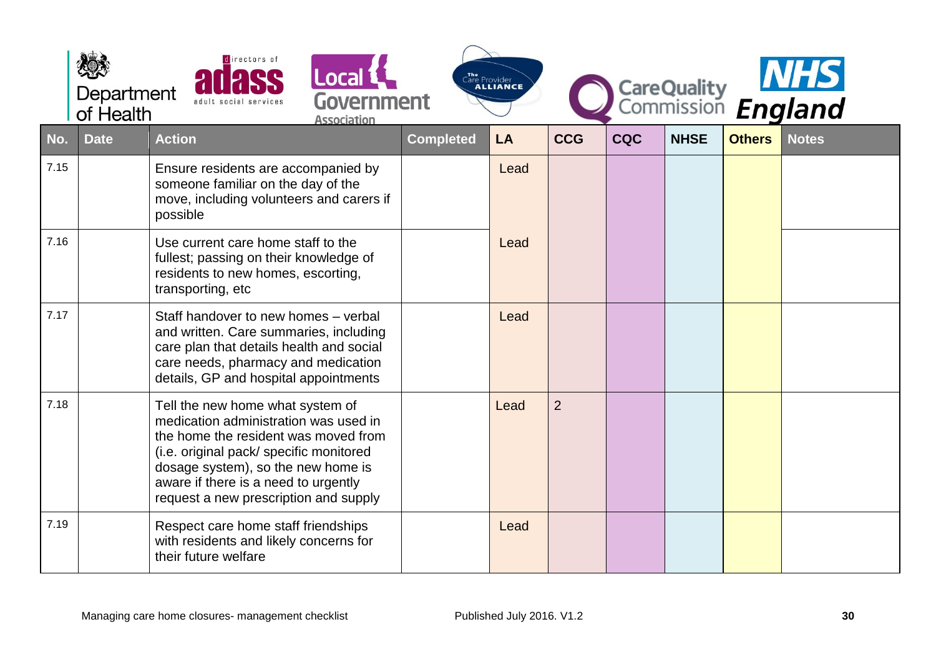|      | Department<br>of Health | directors of<br><b>Local 1</b><br>Government<br>adult social services<br><b>Association</b>                                                                                                                                                                                         |                  | The<br>Care Provider<br><b>ALLIANCE</b> |                |            |             |               | CareQuality<br>Commission England |
|------|-------------------------|-------------------------------------------------------------------------------------------------------------------------------------------------------------------------------------------------------------------------------------------------------------------------------------|------------------|-----------------------------------------|----------------|------------|-------------|---------------|-----------------------------------|
| No.  | <b>Date</b>             | <b>Action</b>                                                                                                                                                                                                                                                                       | <b>Completed</b> | LA                                      | <b>CCG</b>     | <b>CQC</b> | <b>NHSE</b> | <b>Others</b> | <b>Notes</b>                      |
| 7.15 |                         | Ensure residents are accompanied by<br>someone familiar on the day of the<br>move, including volunteers and carers if<br>possible                                                                                                                                                   |                  | Lead                                    |                |            |             |               |                                   |
| 7.16 |                         | Use current care home staff to the<br>fullest; passing on their knowledge of<br>residents to new homes, escorting,<br>transporting, etc                                                                                                                                             |                  | Lead                                    |                |            |             |               |                                   |
| 7.17 |                         | Staff handover to new homes - verbal<br>and written. Care summaries, including<br>care plan that details health and social<br>care needs, pharmacy and medication<br>details, GP and hospital appointments                                                                          |                  | Lead                                    |                |            |             |               |                                   |
| 7.18 |                         | Tell the new home what system of<br>medication administration was used in<br>the home the resident was moved from<br>(i.e. original pack/ specific monitored<br>dosage system), so the new home is<br>aware if there is a need to urgently<br>request a new prescription and supply |                  | Lead                                    | $\overline{2}$ |            |             |               |                                   |
| 7.19 |                         | Respect care home staff friendships<br>with residents and likely concerns for<br>their future welfare                                                                                                                                                                               |                  | Lead                                    |                |            |             |               |                                   |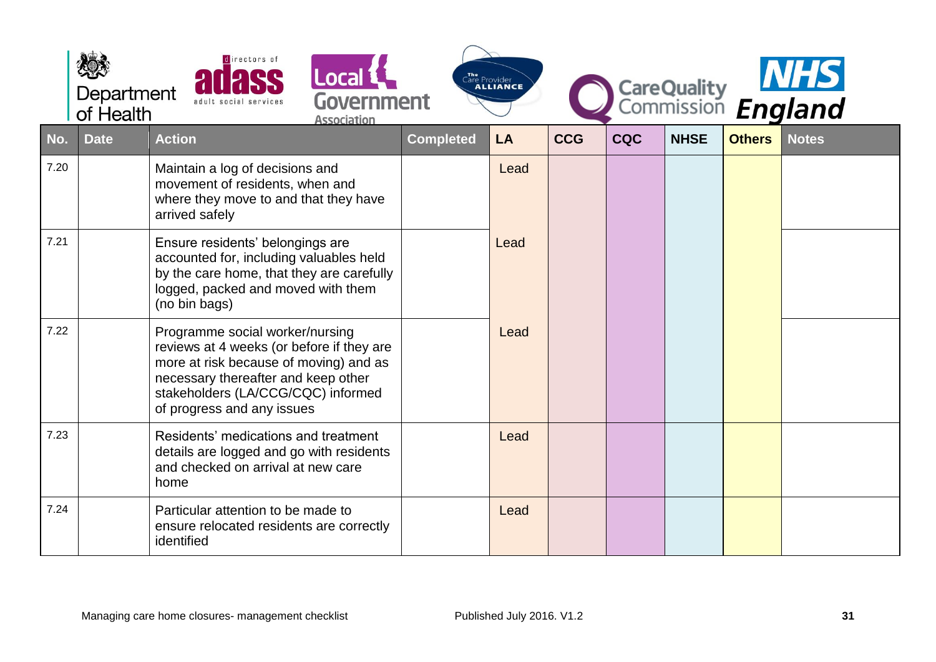|      | Department<br>of Health | directors of<br>Local L<br>Government<br><b>Association</b>                                                                                                                                                                       |                  | The Provider<br><b>ALLIANCE</b> |            |            |             |               | CareQuality MIS |
|------|-------------------------|-----------------------------------------------------------------------------------------------------------------------------------------------------------------------------------------------------------------------------------|------------------|---------------------------------|------------|------------|-------------|---------------|-----------------|
| No.  | <b>Date</b>             | <b>Action</b>                                                                                                                                                                                                                     | <b>Completed</b> | <b>LA</b>                       | <b>CCG</b> | <b>CQC</b> | <b>NHSE</b> | <b>Others</b> | <b>Notes</b>    |
| 7.20 |                         | Maintain a log of decisions and<br>movement of residents, when and<br>where they move to and that they have<br>arrived safely                                                                                                     |                  | Lead                            |            |            |             |               |                 |
| 7.21 |                         | Ensure residents' belongings are<br>accounted for, including valuables held<br>by the care home, that they are carefully<br>logged, packed and moved with them<br>(no bin bags)                                                   |                  | Lead                            |            |            |             |               |                 |
| 7.22 |                         | Programme social worker/nursing<br>reviews at 4 weeks (or before if they are<br>more at risk because of moving) and as<br>necessary thereafter and keep other<br>stakeholders (LA/CCG/CQC) informed<br>of progress and any issues |                  | Lead                            |            |            |             |               |                 |
| 7.23 |                         | Residents' medications and treatment<br>details are logged and go with residents<br>and checked on arrival at new care<br>home                                                                                                    |                  | Lead                            |            |            |             |               |                 |
| 7.24 |                         | Particular attention to be made to<br>ensure relocated residents are correctly<br>identified                                                                                                                                      |                  | Lead                            |            |            |             |               |                 |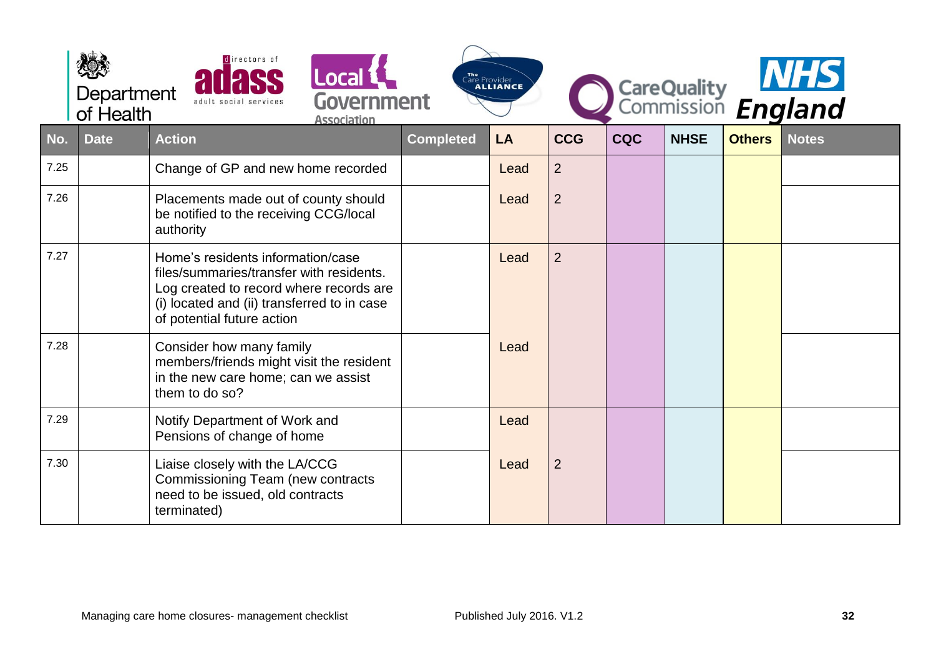|      | Department<br>of Health | directors of                                                                                                                                                                                          | Local L<br><b>Government</b><br><b>Association</b> |                  | The Provider<br><b>ALLIANCE</b> |                |            |             |               | CareQuality MHS |
|------|-------------------------|-------------------------------------------------------------------------------------------------------------------------------------------------------------------------------------------------------|----------------------------------------------------|------------------|---------------------------------|----------------|------------|-------------|---------------|-----------------|
| No.  | <b>Date</b>             | <b>Action</b>                                                                                                                                                                                         |                                                    | <b>Completed</b> | LA                              | <b>CCG</b>     | <b>CQC</b> | <b>NHSE</b> | <b>Others</b> | <b>Notes</b>    |
| 7.25 |                         | Change of GP and new home recorded                                                                                                                                                                    |                                                    |                  | Lead                            | $\overline{2}$ |            |             |               |                 |
| 7.26 |                         | Placements made out of county should<br>be notified to the receiving CCG/local<br>authority                                                                                                           |                                                    |                  | Lead                            | $\overline{2}$ |            |             |               |                 |
| 7.27 |                         | Home's residents information/case<br>files/summaries/transfer with residents.<br>Log created to record where records are<br>(i) located and (ii) transferred to in case<br>of potential future action |                                                    |                  | Lead                            | $\overline{2}$ |            |             |               |                 |
| 7.28 |                         | Consider how many family<br>members/friends might visit the resident<br>in the new care home; can we assist<br>them to do so?                                                                         |                                                    |                  | Lead                            |                |            |             |               |                 |
| 7.29 |                         | Notify Department of Work and<br>Pensions of change of home                                                                                                                                           |                                                    |                  | Lead                            |                |            |             |               |                 |
| 7.30 |                         | Liaise closely with the LA/CCG<br>Commissioning Team (new contracts<br>need to be issued, old contracts<br>terminated)                                                                                |                                                    |                  | Lead                            | $\overline{2}$ |            |             |               |                 |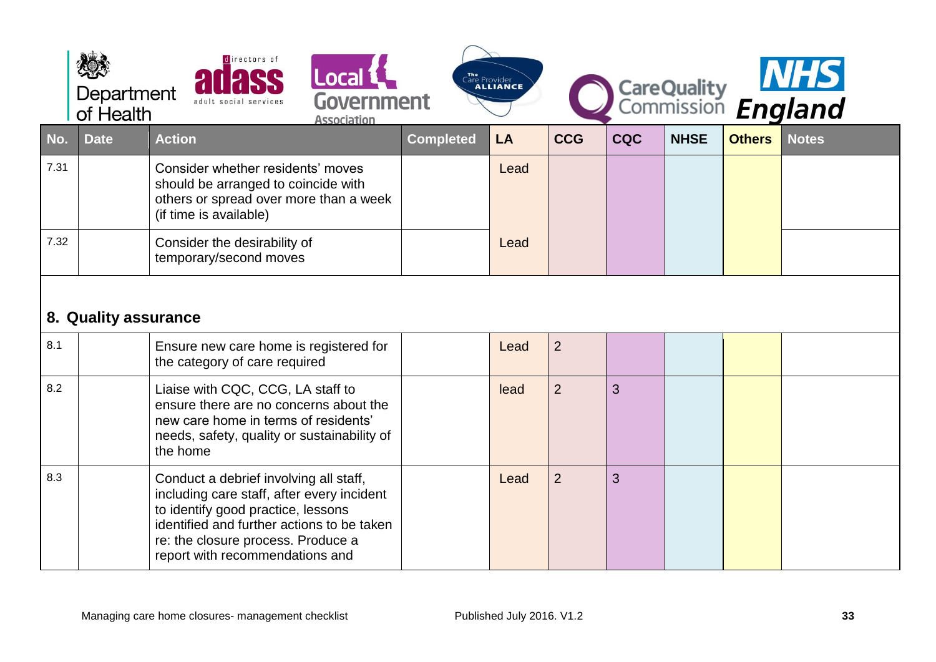<span id="page-32-0"></span>

|      | Department<br>of Health | directors of<br>Local L<br><b>Association</b>                                                                                                                                                                                                     | Government |                  | Care Provider |                |            |             |               | CareQuality MHS |
|------|-------------------------|---------------------------------------------------------------------------------------------------------------------------------------------------------------------------------------------------------------------------------------------------|------------|------------------|---------------|----------------|------------|-------------|---------------|-----------------|
| No.  | <b>Date</b>             | <b>Action</b>                                                                                                                                                                                                                                     |            | <b>Completed</b> | LA            | <b>CCG</b>     | <b>CQC</b> | <b>NHSE</b> | <b>Others</b> | <b>Notes</b>    |
| 7.31 |                         | Consider whether residents' moves<br>should be arranged to coincide with<br>others or spread over more than a week<br>(if time is available)                                                                                                      |            |                  | Lead          |                |            |             |               |                 |
| 7.32 |                         | Consider the desirability of<br>temporary/second moves                                                                                                                                                                                            |            |                  | Lead          |                |            |             |               |                 |
|      | 8. Quality assurance    |                                                                                                                                                                                                                                                   |            |                  |               |                |            |             |               |                 |
| 8.1  |                         | Ensure new care home is registered for<br>the category of care required                                                                                                                                                                           |            |                  | Lead          | $\overline{2}$ |            |             |               |                 |
| 8.2  |                         | Liaise with CQC, CCG, LA staff to<br>ensure there are no concerns about the<br>new care home in terms of residents'<br>needs, safety, quality or sustainability of<br>the home                                                                    |            |                  | lead          | $\overline{2}$ | 3          |             |               |                 |
| 8.3  |                         | Conduct a debrief involving all staff,<br>including care staff, after every incident<br>to identify good practice, lessons<br>identified and further actions to be taken<br>re: the closure process. Produce a<br>report with recommendations and |            |                  | Lead          | $\overline{2}$ | 3          |             |               |                 |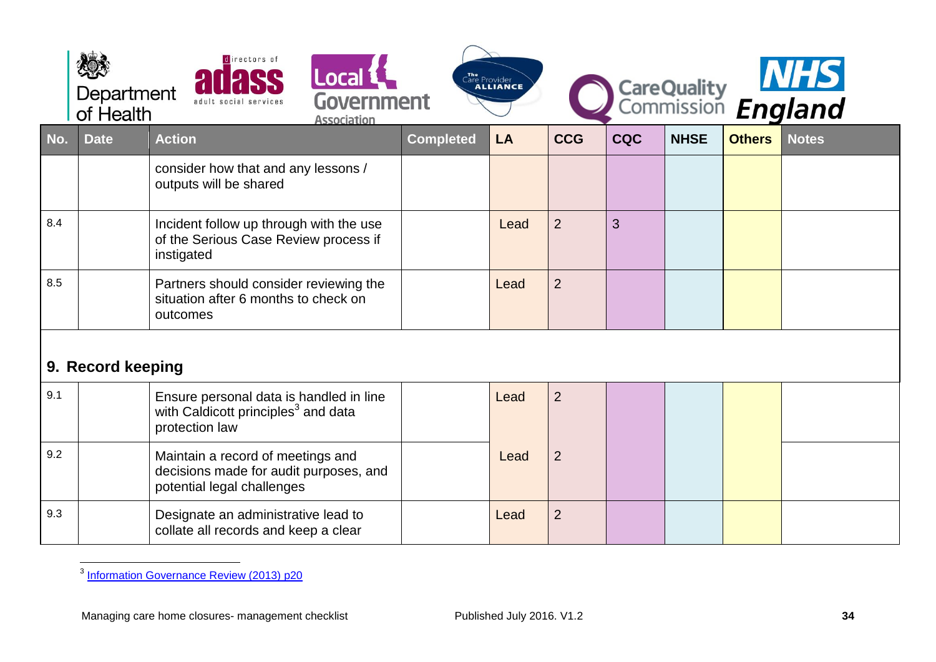|     | Department<br>of Health | directors of<br>adult social services                                                                        | Government | Care Provider    |      |                |            |             | CareQuality MHS |              |
|-----|-------------------------|--------------------------------------------------------------------------------------------------------------|------------|------------------|------|----------------|------------|-------------|-----------------|--------------|
| No. | <b>Date</b>             | <b>Action</b>                                                                                                |            | <b>Completed</b> | LA   | <b>CCG</b>     | <b>CQC</b> | <b>NHSE</b> | <b>Others</b>   | <b>Notes</b> |
|     |                         | consider how that and any lessons /<br>outputs will be shared                                                |            |                  |      |                |            |             |                 |              |
| 8.4 |                         | Incident follow up through with the use<br>of the Serious Case Review process if<br>instigated               |            |                  | Lead | $\overline{2}$ | 3          |             |                 |              |
| 8.5 |                         | Partners should consider reviewing the<br>situation after 6 months to check on<br>outcomes                   |            |                  | Lead | $\overline{2}$ |            |             |                 |              |
|     | 9. Record keeping       |                                                                                                              |            |                  |      |                |            |             |                 |              |
| 9.1 |                         | Ensure personal data is handled in line<br>with Caldicott principles <sup>3</sup> and data<br>protection law |            |                  | Lead | $\overline{2}$ |            |             |                 |              |
| 9.2 |                         | Maintain a record of meetings and<br>decisions made for audit purposes, and<br>potential legal challenges    |            |                  | Lead | $\overline{2}$ |            |             |                 |              |
| 9.3 |                         | Designate an administrative lead to<br>collate all records and keep a clear                                  |            |                  | Lead | $\overline{2}$ |            |             |                 |              |

<span id="page-33-0"></span> 3 [Information Governance Review \(2013\) p20](https://www.gov.uk/government/uploads/system/uploads/attachment_data/file/192572/2900774_InfoGovernance_accv2.pdf)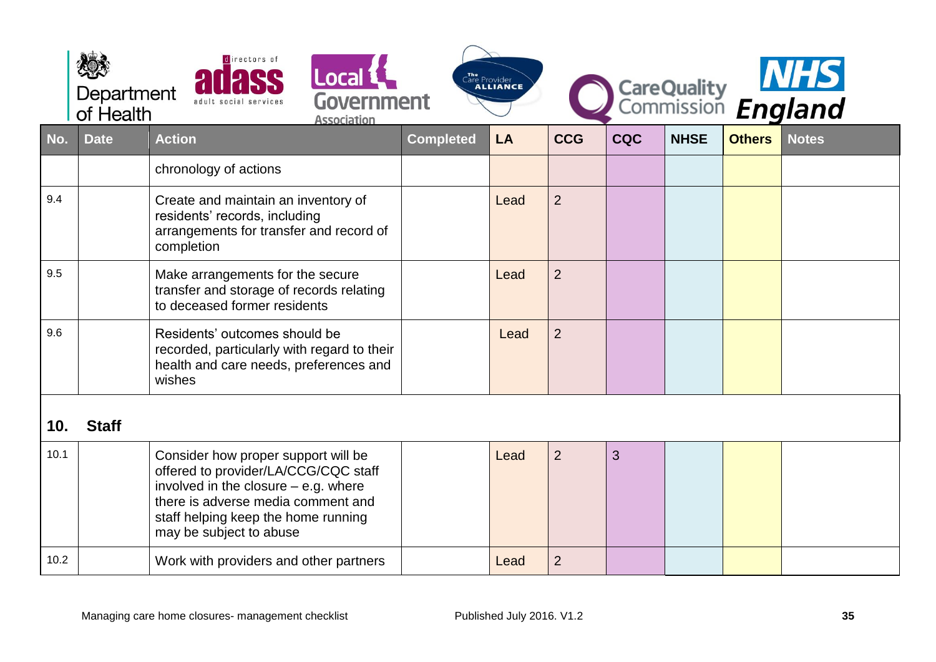<span id="page-34-0"></span>

|      | Department<br>of Health | directors of<br>Local 1<br>Government<br>adult social services<br>Association                                                                                                                                                 |                  | The Provider<br><b>ALLIANCE</b> |                |            |             |               | CareQuality MHS |
|------|-------------------------|-------------------------------------------------------------------------------------------------------------------------------------------------------------------------------------------------------------------------------|------------------|---------------------------------|----------------|------------|-------------|---------------|-----------------|
| No.  | <b>Date</b>             | <b>Action</b>                                                                                                                                                                                                                 | <b>Completed</b> | LA                              | <b>CCG</b>     | <b>CQC</b> | <b>NHSE</b> | <b>Others</b> | <b>Notes</b>    |
|      |                         | chronology of actions                                                                                                                                                                                                         |                  |                                 |                |            |             |               |                 |
| 9.4  |                         | Create and maintain an inventory of<br>residents' records, including<br>arrangements for transfer and record of<br>completion                                                                                                 |                  | Lead                            | $\overline{2}$ |            |             |               |                 |
| 9.5  |                         | Make arrangements for the secure<br>transfer and storage of records relating<br>to deceased former residents                                                                                                                  |                  | Lead                            | $\overline{2}$ |            |             |               |                 |
| 9.6  |                         | Residents' outcomes should be<br>recorded, particularly with regard to their<br>health and care needs, preferences and<br>wishes                                                                                              |                  | Lead                            | $\overline{2}$ |            |             |               |                 |
| 10.  | <b>Staff</b>            |                                                                                                                                                                                                                               |                  |                                 |                |            |             |               |                 |
| 10.1 |                         | Consider how proper support will be<br>offered to provider/LA/CCG/CQC staff<br>involved in the closure $-$ e.g. where<br>there is adverse media comment and<br>staff helping keep the home running<br>may be subject to abuse |                  | Lead                            | $\overline{2}$ | 3          |             |               |                 |
| 10.2 |                         | Work with providers and other partners                                                                                                                                                                                        |                  | Lead                            | $\overline{2}$ |            |             |               |                 |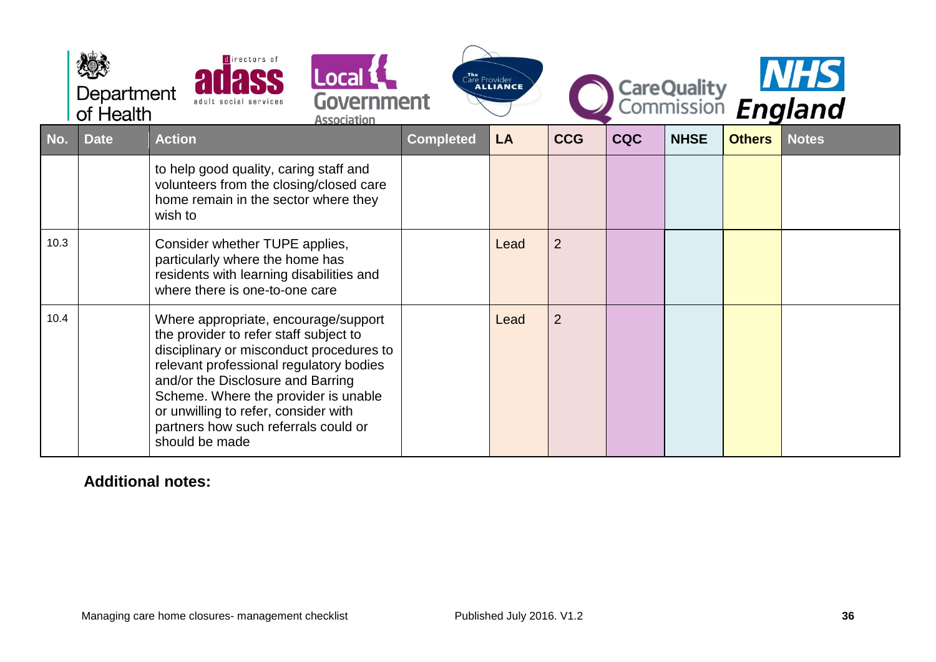|      | Department<br>of Health | directors of<br>Local 1<br>Government<br>adult social services<br><b>Association</b>                                                                                                                                                                                                                                                                 |                  | Care Provider |                |            |             |               | CareQuality MHS |
|------|-------------------------|------------------------------------------------------------------------------------------------------------------------------------------------------------------------------------------------------------------------------------------------------------------------------------------------------------------------------------------------------|------------------|---------------|----------------|------------|-------------|---------------|-----------------|
| No.  | <b>Date</b>             | <b>Action</b>                                                                                                                                                                                                                                                                                                                                        | <b>Completed</b> | LA            | <b>CCG</b>     | <b>CQC</b> | <b>NHSE</b> | <b>Others</b> | <b>Notes</b>    |
|      |                         | to help good quality, caring staff and<br>volunteers from the closing/closed care<br>home remain in the sector where they<br>wish to                                                                                                                                                                                                                 |                  |               |                |            |             |               |                 |
| 10.3 |                         | Consider whether TUPE applies,<br>particularly where the home has<br>residents with learning disabilities and<br>where there is one-to-one care                                                                                                                                                                                                      |                  | Lead          | $\overline{2}$ |            |             |               |                 |
| 10.4 |                         | Where appropriate, encourage/support<br>the provider to refer staff subject to<br>disciplinary or misconduct procedures to<br>relevant professional regulatory bodies<br>and/or the Disclosure and Barring<br>Scheme. Where the provider is unable<br>or unwilling to refer, consider with<br>partners how such referrals could or<br>should be made |                  | Lead          | $\overline{2}$ |            |             |               |                 |

## **Additional notes:**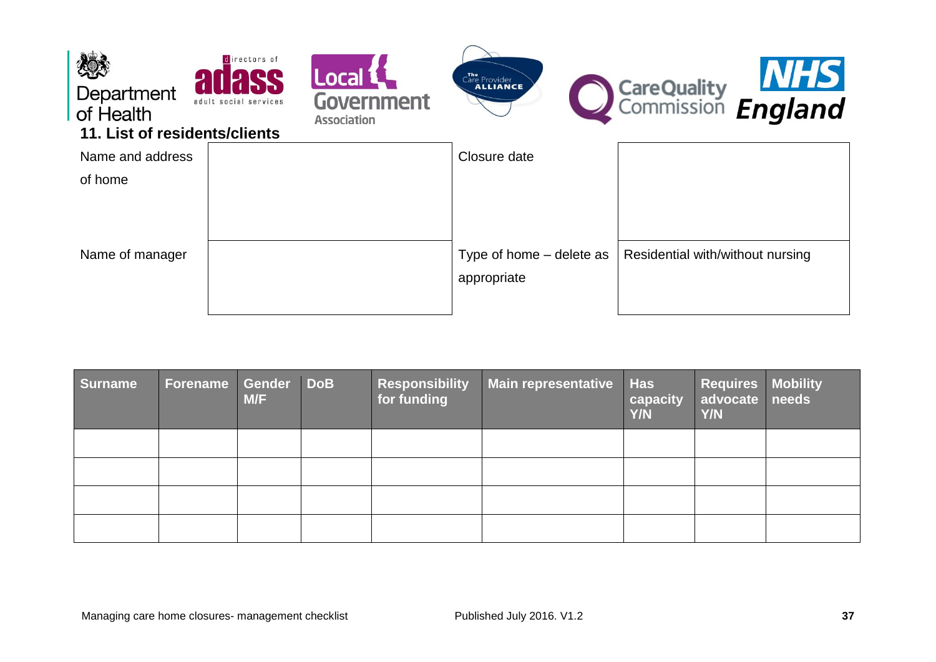<span id="page-36-0"></span>

| Surname | Forename Gender DoB | M/F | <b>Responsibility</b><br>for funding | <b>Main representative</b> | <b>Has</b><br>capacity<br>Y/N | <b>Requires Mobility</b><br>advocate needs<br><b>Y/N</b> |  |
|---------|---------------------|-----|--------------------------------------|----------------------------|-------------------------------|----------------------------------------------------------|--|
|         |                     |     |                                      |                            |                               |                                                          |  |
|         |                     |     |                                      |                            |                               |                                                          |  |
|         |                     |     |                                      |                            |                               |                                                          |  |
|         |                     |     |                                      |                            |                               |                                                          |  |